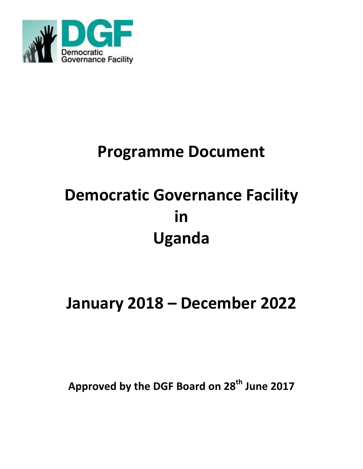

# **Programme Document**

# **Democratic Governance Facility in Uganda**

# **January 2018 – December 2022**

**Approved by the DGF Board on 28th June 2017**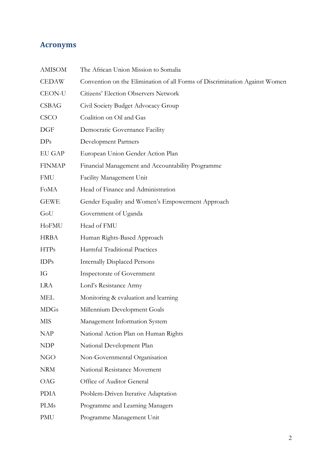## **Acronyms**

| <b>AMISOM</b>   | The African Union Mission to Somalia                                       |
|-----------------|----------------------------------------------------------------------------|
| <b>CEDAW</b>    | Convention on the Elimination of all Forms of Discrimination Against Women |
| <b>CEON-U</b>   | Citizens' Election Observers Network                                       |
| <b>CSBAG</b>    | Civil Society Budget Advocacy Group                                        |
| CSCO            | Coalition on Oil and Gas                                                   |
| DGF             | Democratic Governance Facility                                             |
| DP <sub>s</sub> | <b>Development Partners</b>                                                |
| EU GAP          | European Union Gender Action Plan                                          |
| <b>FINMAP</b>   | Financial Management and Accountability Programme                          |
| <b>FMU</b>      | Facility Management Unit                                                   |
| FoMA            | Head of Finance and Administration                                         |
| <b>GEWE</b>     | Gender Equality and Women's Empowerment Approach                           |
| GoU             | Government of Uganda                                                       |
| HoFMU           | Head of FMU                                                                |
| <b>HRBA</b>     | Human Rights-Based Approach                                                |
| <b>HTPs</b>     | Harmful Traditional Practices                                              |
| IDPs            | <b>Internally Displaced Persons</b>                                        |
| IG              | Inspectorate of Government                                                 |
| <b>LRA</b>      | Lord's Resistance Army                                                     |
| <b>MEL</b>      | Monitoring & evaluation and learning                                       |
| <b>MDGs</b>     | Millennium Development Goals                                               |
| <b>MIS</b>      | Management Information System                                              |
| <b>NAP</b>      | National Action Plan on Human Rights                                       |
| <b>NDP</b>      | National Development Plan                                                  |
| <b>NGO</b>      | Non-Governmental Organisation                                              |
| <b>NRM</b>      | National Resistance Movement                                               |
| <b>OAG</b>      | Office of Auditor General                                                  |
| <b>PDIA</b>     | Problem-Driven Iterative Adaptation                                        |
| <b>PLMs</b>     | Programme and Learning Managers                                            |
| PMU             | Programme Management Unit                                                  |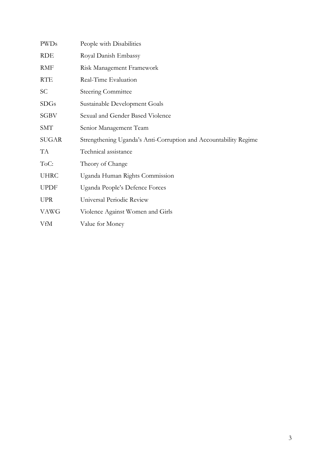| <b>PWDs</b> | People with Disabilities                                         |
|-------------|------------------------------------------------------------------|
| RDE         | Royal Danish Embassy                                             |
| <b>RMF</b>  | Risk Management Framework                                        |
| <b>RTE</b>  | Real-Time Evaluation                                             |
| SC          | <b>Steering Committee</b>                                        |
| <b>SDGs</b> | Sustainable Development Goals                                    |
| SGBV        | Sexual and Gender Based Violence                                 |
| <b>SMT</b>  | Senior Management Team                                           |
| SUGAR       | Strengthening Uganda's Anti-Corruption and Accountability Regime |
| TA          | Technical assistance                                             |
| ToC:        | Theory of Change                                                 |
| <b>UHRC</b> | Uganda Human Rights Commission                                   |
| <b>UPDF</b> | Uganda People's Defence Forces                                   |
|             |                                                                  |
| <b>UPR</b>  | Universal Periodic Review                                        |
| <b>VAWG</b> | Violence Against Women and Girls                                 |
| VfM         | Value for Money                                                  |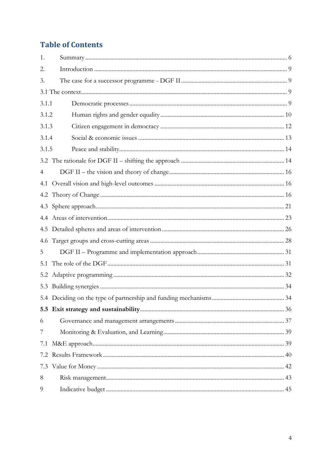# **Table of Contents**

| 1.    |  |
|-------|--|
| 2.    |  |
| 3.    |  |
|       |  |
| 3.1.1 |  |
| 3.1.2 |  |
| 3.1.3 |  |
| 3.1.4 |  |
| 3.1.5 |  |
|       |  |
| 4     |  |
| 4.1   |  |
|       |  |
|       |  |
|       |  |
|       |  |
|       |  |
| 5     |  |
| 5.1   |  |
| 5.2   |  |
| 5.3   |  |
|       |  |
|       |  |
| 6     |  |
| 7     |  |
| 7.1   |  |
| 7.2   |  |
| 7.3   |  |
| 8     |  |
| 9     |  |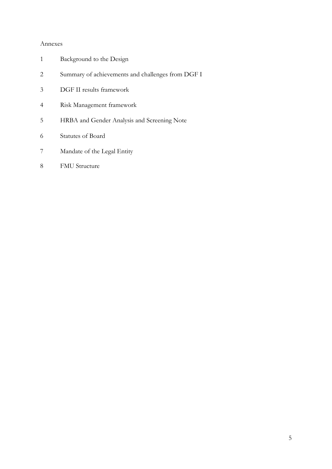#### Annexes

- Background to the Design
- Summary of achievements and challenges from DGF I
- DGF II results framework
- Risk Management framework
- HRBA and Gender Analysis and Screening Note
- Statutes of Board
- Mandate of the Legal Entity
- 8 FMU Structure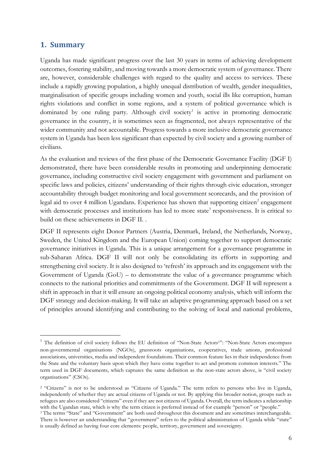#### <span id="page-5-0"></span>**1. Summary**

Uganda has made significant progress over the last 30 years in terms of achieving development outcomes, fostering stability, and moving towards a more democratic system of governance. There are, however, considerable challenges with regard to the quality and access to services. These include a rapidly growing population, a highly unequal distribution of wealth, gender inequalities, marginalisation of specific groups including women and youth, social ills like corruption, human rights violations and conflict in some regions, and a system of political governance which is dominated by one ruling party. Although civil society<sup>1</sup> is active in promoting democratic governance in the country, it is sometimes seen as fragmented, not always representative of the wider community and not accountable. Progress towards a more inclusive democratic governance system in Uganda has been less significant than expected by civil society and a growing number of civilians.

As the evaluation and reviews of the first phase of the Democratic Governance Facility (DGF I) demonstrated, there have been considerable results in promoting and underpinning democratic governance, including constructive civil society engagement with government and parliament on specific laws and policies, citizens' understanding of their rights through civic education, stronger accountability through budget monitoring and local government scorecards, and the provision of legal aid to over 4 million Ugandans. Experience has shown that supporting citizen<sup>2</sup> engagement with democratic processes and institutions has led to more state<sup>3</sup> responsiveness. It is critical to build on these achievements in DGF II. .

DGF II represents eight Donor Partners (Austria, Denmark, Ireland, the Netherlands, Norway, Sweden, the United Kingdom and the European Union) coming together to support democratic governance initiatives in Uganda. This is a unique arrangement for a governance programme in sub-Saharan Africa. DGF II will not only be consolidating its efforts in supporting and strengthening civil society. It is also designed to 'refresh' its approach and its engagement with the Government of Uganda (GoU) – to demonstrate the value of a governance programme which connects to the national priorities and commitments of the Government. DGF II will represent a shift in approach in that it will ensure an ongoing political economy analysis, which will inform the DGF strategy and decision-making. It will take an adaptive programming approach based on a set of principles around identifying and contributing to the solving of local and national problems,

<sup>&</sup>lt;sup>1</sup> The definition of civil society follows the EU definition of "Non-State Actors<sup>1</sup>": "Non-State Actors encompass non-governmental organisations (NGOs), grassroots organisations, cooperatives, trade unions, professional associations, universities, media and independent foundations. Their common feature lies in their independence from the State and the voluntary basis upon which they have come together to act and promote common interests." The term used in DGF documents, which captures the same definition as the non-state actors above, is "civil society organisations" (CSOs).

<sup>&</sup>lt;sup>2</sup> "Citizens" is not to be understood as "Citizens of Uganda." The term refers to persons who live in Uganda, independently of whether they are actual citizens of Uganda or not. By applying this broader notion, groups such as refugees are also considered "citizens" even if they are not citizens of Uganda. Overall, the term indicates a relationship with the Ugandan state, which is why the term citizen is preferred instead of for example "person" or "people."

<sup>&</sup>lt;sup>3</sup> The terms "State" and "Government" are both used throughout this document and are sometimes interchangeable. There is however an understanding that "government" refers to the political administration of Uganda while "state" is usually defined as having four core elements: people, territory, government and sovereignty.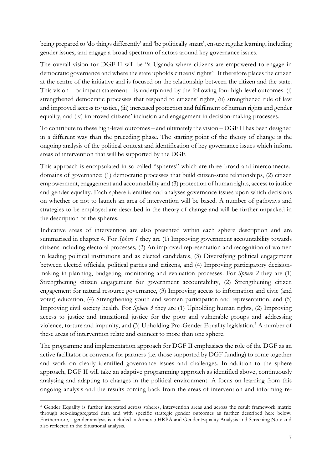being prepared to 'do things differently' and 'be politically smart', ensure regular learning, including gender issues, and engage a broad spectrum of actors around key governance issues.

The overall vision for DGF II will be "a Uganda where citizens are empowered to engage in democratic governance and where the state upholds citizens' rights". It therefore places the citizen at the centre of the initiative and is focused on the relationship between the citizen and the state. This vision – or impact statement – is underpinned by the following four high-level outcomes: (i) strengthened democratic processes that respond to citizens' rights, (ii) strengthened rule of law and improved access to justice, (iii) increased protection and fulfilment of human rights and gender equality, and (iv) improved citizens' inclusion and engagement in decision-making processes.

To contribute to these high-level outcomes – and ultimately the vision – DGF II has been designed in a different way than the preceding phase. The starting point of the theory of change is the ongoing analysis of the political context and identification of key governance issues which inform areas of intervention that will be supported by the DGF.

This approach is encapsulated in so-called "spheres" which are three broad and interconnected domains of governance: (1) democratic processes that build citizen-state relationships, (2) citizen empowerment, engagement and accountability and (3) protection of human rights, access to justice and gender equality. Each sphere identifies and analyses governance issues upon which decisions on whether or not to launch an area of intervention will be based. A number of pathways and strategies to be employed are described in the theory of change and will be further unpacked in the description of the spheres.

Indicative areas of intervention are also presented within each sphere description and are summarised in chapter 4. For *Sphere 1* they are (1) Improving government accountability towards citizens including electoral processes*,* (2) An improved representation and recognition of women in leading political institutions and as elected candidates, (3) Diversifying political engagement between elected officials, political parties and citizens, and (4) Improving participatory decisionmaking in planning, budgeting, monitoring and evaluation processes. For *Sphere 2* they are (1) Strengthening citizen engagement for government accountability, (2) Strengthening citizen engagement for natural resource governance, (3) Improving access to information and civic (and voter) education, (4) Strengthening youth and women participation and representation, and (5) Improving civil society health. For *Sphere 3* they are (1) Upholding human rights, (2) Improving access to justice and transitional justice for the poor and vulnerable groups and addressing violence, torture and impunity, and (3) Upholding Pro-Gender Equality legislation.<sup>4</sup> A number of these areas of intervention relate and connect to more than one sphere.

The programme and implementation approach for DGF II emphasises the role of the DGF as an active facilitator or convenor for partners (i.e. those supported by DGF funding) to come together and work on clearly identified governance issues and challenges. In addition to the sphere approach, DGF II will take an adaptive programming approach as identified above, continuously analysing and adapting to changes in the political environment. A focus on learning from this ongoing analysis and the results coming back from the areas of intervention and informing re-

 <sup>4</sup> Gender Equality is further integrated across spheres, intervention areas and across the result framework matrix through sex-disaggregated data and with specific strategic gender outcomes as further described here below. Furthermore, a gender analysis is included in Annex 5 HRBA and Gender Equality Analysis and Screening Note and also reflected in the Situational analysis.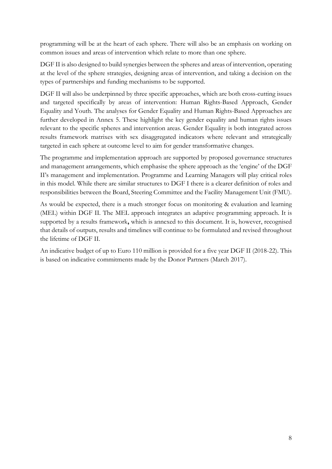programming will be at the heart of each sphere. There will also be an emphasis on working on common issues and areas of intervention which relate to more than one sphere.

DGF II is also designed to build synergies between the spheres and areas of intervention, operating at the level of the sphere strategies, designing areas of intervention, and taking a decision on the types of partnerships and funding mechanisms to be supported.

DGF II will also be underpinned by three specific approaches, which are both cross-cutting issues and targeted specifically by areas of intervention: Human Rights-Based Approach, Gender Equality and Youth. The analyses for Gender Equality and Human Rights-Based Approaches are further developed in Annex 5. These highlight the key gender equality and human rights issues relevant to the specific spheres and intervention areas. Gender Equality is both integrated across results framework matrixes with sex disaggregated indicators where relevant and strategically targeted in each sphere at outcome level to aim for gender transformative changes.

The programme and implementation approach are supported by proposed governance structures and management arrangements, which emphasise the sphere approach as the 'engine' of the DGF II's management and implementation. Programme and Learning Managers will play critical roles in this model. While there are similar structures to DGF I there is a clearer definition of roles and responsibilities between the Board, Steering Committee and the Facility Management Unit (FMU).

As would be expected, there is a much stronger focus on monitoring & evaluation and learning (MEL) within DGF II. The MEL approach integrates an adaptive programming approach. It is supported by a results framework**,** which is annexed to this document. It is, however, recognised that details of outputs, results and timelines will continue to be formulated and revised throughout the lifetime of DGF II.

An indicative budget of up to Euro 110 million is provided for a five year DGF II (2018-22). This is based on indicative commitments made by the Donor Partners (March 2017).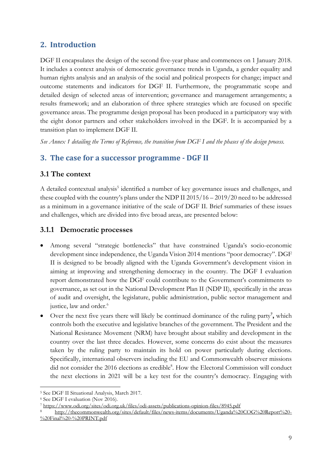## <span id="page-8-0"></span>**2. Introduction**

DGF II encapsulates the design of the second five-year phase and commences on 1 January 2018. It includes a context analysis of democratic governance trends in Uganda, a gender equality and human rights analysis and an analysis of the social and political prospects for change; impact and outcome statements and indicators for DGF II. Furthermore, the programmatic scope and detailed design of selected areas of intervention; governance and management arrangements; a results framework; and an elaboration of three sphere strategies which are focused on specific governance areas. The programme design proposal has been produced in a participatory way with the eight donor partners and other stakeholders involved in the DGF. It is accompanied by a transition plan to implement DGF II.

*See Annex 1 detailing the Terms of Reference, the transition from DGF I and the phases of the design process.* 

#### <span id="page-8-1"></span>**3. The case for a successor programme - DGF II**

#### <span id="page-8-2"></span>**3.1 The context**

A detailed contextual analysis<sup>5</sup> identified a number of key governance issues and challenges, and these coupled with the country's plans under the NDP II 2015/16 – 2019/20 need to be addressed as a minimum in a governance initiative of the scale of DGF II. Brief summaries of these issues and challenges, which are divided into five broad areas, are presented below:

#### <span id="page-8-3"></span>**3.1.1 Democratic processes**

- Among several "strategic bottlenecks" that have constrained Uganda's socio-economic development since independence, the Uganda Vision 2014 mentions "poor democracy". DGF II is designed to be broadly aligned with the Uganda Government's development vision in aiming at improving and strengthening democracy in the country. The DGF I evaluation report demonstrated how the DGF could contribute to the Government's commitments to governance, as set out in the National Development Plan II (NDP II), specifically in the areas of audit and oversight, the legislature, public administration, public sector management and justice, law and order. 6
- Over the next five years there will likely be continued dominance of the ruling party<sup>7</sup>, which controls both the executive and legislative branches of the government. The President and the National Resistance Movement (NRM) have brought about stability and development in the country over the last three decades. However, some concerns do exist about the measures taken by the ruling party to maintain its hold on power particularly during elections. Specifically, international observers including the EU and Commonwealth observer missions did not consider the 2016 elections as credible<sup>8</sup>. How the Electoral Commission will conduct the next elections in 2021 will be a key test for the country's democracy. Engaging with

 <sup>5</sup> See DGF II Situational Analysis, March 2017.

<sup>6</sup> See DGF I evaluation (Nov 2016).

<sup>7</sup> <https://www.odi.org/sites/odi.org.uk/files/odi-assets/publications-opinion-files/8945.pdf>

<sup>8</sup> [http://thecommonwealth.org/sites/default/files/news-items/documents/Uganda%20COG%20Report%20-](http://thecommonwealth.org/sites/default/files/news-items/documents/Uganda%20COG%20Report%20-%20Final%20-%20PRINT.pdf)  $\%$ 20Final%20-%20PRINT.pdf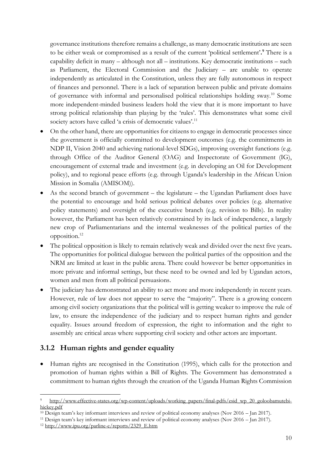governance institutions therefore remains a challenge, as many democratic institutions are seen to be either weak or compromised as a result of the current 'political settlement'**. <sup>9</sup>** There is a capability deficit in many – although not all – institutions. Key democratic institutions – such as Parliament, the Electoral Commission and the Judiciary – are unable to operate independently as articulated in the Constitution, unless they are fully autonomous in respect of finances and personnel. There is a lack of separation between public and private domains of governance with informal and personalised political relationships holding sway.10 Some more independent-minded business leaders hold the view that it is more important to have strong political relationship than playing by the 'rules'. This demonstrates what some civil society actors have called 'a crisis of democratic values'.<sup>11</sup>

- On the other hand, there are opportunities for citizens to engage in democratic processes since the government is officially committed to development outcomes (e.g. the commitments in NDP II, Vision 2040 and achieving national-level SDGs), improving oversight functions (e.g. through Office of the Auditor General (OAG) and Inspectorate of Government (IG), encouragement of external trade and investment (e.g. in developing an Oil for Development policy), and to regional peace efforts (e.g. through Uganda's leadership in the African Union Mission in Somalia (AMISOM)).
- As the second branch of government the legislature the Ugandan Parliament does have the potential to encourage and hold serious political debates over policies (e.g. alternative policy statements) and oversight of the executive branch (e.g. revision to Bills). In reality however, the Parliament has been relatively constrained by its lack of independence, a largely new crop of Parliamentarians and the internal weaknesses of the political parties of the opposition. 12
- x The political opposition is likely to remain relatively weak and divided over the next five years**.**  The opportunities for political dialogue between the political parties of the opposition and the NRM are limited at least in the public arena. There could however be better opportunities in more private and informal settings, but these need to be owned and led by Ugandan actors, women and men from all political persuasions.
- The judiciary has demonstrated an ability to act more and more independently in recent years. However, rule of law does not appear to serve the "majority". There is a growing concern among civil society organizations that the political will is getting weaker to improve the rule of law, to ensure the independence of the judiciary and to respect human rights and gender equality. Issues around freedom of expression, the right to information and the right to assembly are critical areas where supporting civil society and other actors are important.

#### <span id="page-9-0"></span>**3.1.2 Human rights and gender equality**

• Human rights are recognised in the Constitution (1995), which calls for the protection and promotion of human rights within a Bill of Rights. The Government has demonstrated a commitment to human rights through the creation of the Uganda Human Rights Commission

[http://www.effective-states.org/wp-content/uploads/working\\_papers/final-pdfs/esid\\_wp\\_20\\_goloobamutebi](http://www.effective-states.org/wp-content/uploads/working_papers/final-pdfs/esid_wp_20_goloobamutebi-hickey.pdf)[hickey.pdf](http://www.effective-states.org/wp-content/uploads/working_papers/final-pdfs/esid_wp_20_goloobamutebi-hickey.pdf)

<sup>10</sup> Design team's key informant interviews and review of political economy analyses (Nov 2016 – Jan 2017).

<sup>&</sup>lt;sup>11</sup> Design team's key informant interviews and review of political economy analyses (Nov 2016 – Jan 2017).<br><sup>12</sup> http://www.ipu.org/parline-e/reports/2329 E.htm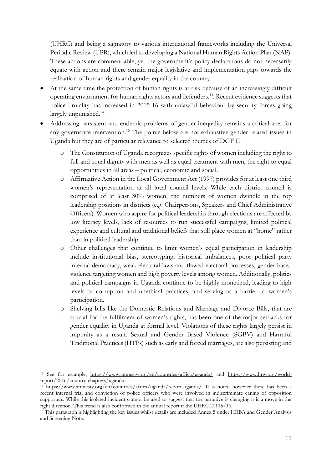(UHRC) and being a signatory to various international frameworks including the Universal Periodic Review (UPR), which led to developing a National Human Rights Action Plan (NAP). These actions are commendable, yet the government's policy declarations do not necessarily equate with action and there remain major legislative and implementation gaps towards the realization of human rights and gender equality in the country.

- At the same time the protection of human rights is at risk because of an increasingly difficult operating environment for human rights actors and defenders.13. Recent evidence suggests that police brutality has increased in 2015-16 with unlawful behaviour by security forces going largely unpunished.<sup>14</sup>
- Addressing persistent and endemic problems of gender inequality remains a critical area for any governance intervention.<sup>15</sup> The points below are not exhaustive gender related issues in Uganda but they are of particular relevance to selected themes of DGF II:
	- o The Constitution of Uganda recognizes specific rights of women including the right to full and equal dignity with men as well as equal treatment with men, the right to equal opportunities in all areas – political, economic and social.
	- o Affirmative Action in the Local Government Act (1997) provides for at least one third women's representation at all local council levels. While each district council is comprised of at least 30% women, the numbers of women dwindle in the top leadership positions in districts (e.g. Chairpersons, Speakers and Chief Administrative Officers). Women who aspire for political leadership through elections are affected by low literacy levels, lack of resources to run successful campaigns, limited political experience and cultural and traditional beliefs that still place women at "home" rather than in political leadership.
	- o Other challenges that continue to limit women's equal participation in leadership include institutional bias, stereotyping, historical imbalances, poor political party internal democracy, weak electoral laws and flawed electoral processes, gender based violence targeting women and high poverty levels among women. Additionally, politics and political campaigns in Uganda continue to be highly monetized, leading to high levels of corruption and unethical practices, and serving as a barrier to women's participation.
	- o Shelving bills like the Domestic Relations and Marriage and Divorce Bills, that are crucial for the fulfilment of women's rights, has been one of the major setbacks for gender equality in Uganda at formal level. Violations of these rights largely persist in impunity as a result. Sexual and Gender Based Violence (SGBV) and Harmful Traditional Practices (HTPs) such as early and forced marriages, are also persisting and

 <sup>13</sup> See for example, <https://www.amnesty.org/en/countries/africa/uganda/> and [https://www.hrw.org/world](https://www.hrw.org/world-report/2016/country-chapters/uganda)[report/2016/country-chapters/uganda](https://www.hrw.org/world-report/2016/country-chapters/uganda)

<sup>&</sup>lt;sup>14</sup> [https://www.amnesty.org/en/countries/africa/uganda/report-uganda/.](https://www.amnesty.org/en/countries/africa/uganda/report-uganda/) It is noted however there has been a recent internal trial and conviction of police officers who were involved in indiscriminate caning of opposition supporters. While this isolated incident cannot be used to suggest that the narrative is changing it is a move in the right direction. This trend is also conformed in the annual report if the UHRC 20115/16.

<sup>&</sup>lt;sup>15</sup> This paragraph is highlighting the key issues whilst details are included Annex 5 under HRBA and Gender Analysis and Screening Note.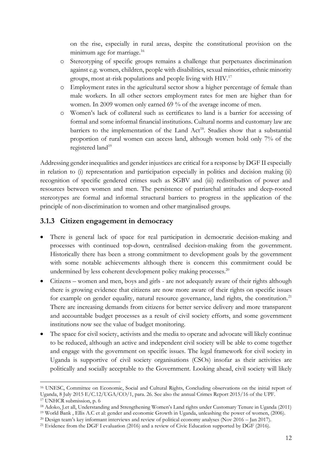on the rise, especially in rural areas, despite the constitutional provision on the minimum age for marriage.<sup>16</sup>

- o Stereotyping of specific groups remains a challenge that perpetuates discrimination against e.g. women, children, people with disabilities, sexual minorities, ethnic minority groups, most at-risk populations and people living with HIV.17
- o Employment rates in the agricultural sector show a higher percentage of female than male workers. In all other sectors employment rates for men are higher than for women. In 2009 women only earned 69 % of the average income of men.
- o Women's lack of collateral such as certificates to land is a barrier for accessing of formal and some informal financial institutions. Cultural norms and customary law are barriers to the implementation of the Land  $Act^{18}$ . Studies show that a substantial proportion of rural women can access land, although women hold only 7% of the registered land<sup>19</sup>

Addressing gender inequalities and gender injustices are critical for a response by DGF II especially in relation to (i) representation and participation especially in politics and decision making (ii) recognition of specific gendered crimes such as SGBV and (iii) redistribution of power and resources between women and men. The persistence of patriarchal attitudes and deep-rooted stereotypes are formal and informal structural barriers to progress in the application of the principle of non-discrimination to women and other marginalised groups.

#### <span id="page-11-0"></span>**3.1.3 Citizen engagement in democracy**

- There is general lack of space for real participation in democratic decision-making and processes with continued top-down, centralised decision-making from the government. Historically there has been a strong commitment to development goals by the government with some notable achievements although there is concern this commitment could be undermined by less coherent development policy making processes.<sup>20</sup>
- Citizens women and men, boys and girls are not adequately aware of their rights although there is growing evidence that citizens are now more aware of their rights on specific issues for example on gender equality, natural resource governance, land rights, the constitution.<sup>21</sup> There are increasing demands from citizens for better service delivery and more transparent and accountable budget processes as a result of civil society efforts, and some government institutions now see the value of budget monitoring.
- The space for civil society, activists and the media to operate and advocate will likely continue to be reduced, although an active and independent civil society will be able to come together and engage with the government on specific issues. The legal framework for civil society in Uganda is supportive of civil society organisations (CSOs) insofar as their activities are politically and socially acceptable to the Government. Looking ahead, civil society will likely

 <sup>16</sup> UNESC, Committee on Economic, Social and Cultural Rights, Concluding observations on the initial report of Uganda, 8 July 2015 E/C.12/UGA/CO/1, para. 26. See also the annual Crimes Report 2015/16 of the UPF.

<sup>&</sup>lt;sup>17</sup> UNHCR submission, p. 6

<sup>18</sup> Adoko, J.et all, Understanding and Strengthening Women's Land rights under Customary Tenure in Uganda (2011)

<sup>19</sup> World Bank , Ellis A.C et al: gender and economic Growth in Uganda, unleashing the power of women, (2006).

<sup>&</sup>lt;sup>20</sup> Design team's key informant interviews and review of political economy analyses (Nov 2016 – Jan 2017).

<sup>&</sup>lt;sup>21</sup> Evidence from the DGF I evaluation (2016) and a review of Civic Education supported by DGF (2016).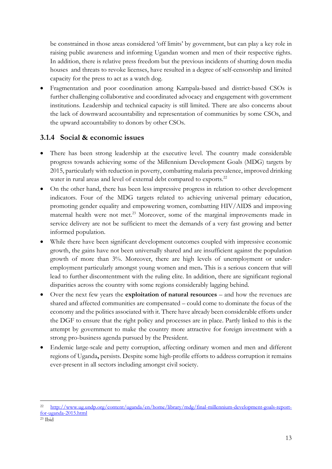be constrained in those areas considered 'off limits' by government, but can play a key role in raising public awareness and informing Ugandan women and men of their respective rights. In addition, there is relative press freedom but the previous incidents of shutting down media houses and threats to revoke licenses, have resulted in a degree of self-censorship and limited capacity for the press to act as a watch dog.

Fragmentation and poor coordination among Kampala-based and district-based CSOs is further challenging collaborative and coordinated advocacy and engagement with government institutions. Leadership and technical capacity is still limited. There are also concerns about the lack of downward accountability and representation of communities by some CSOs, and the upward accountability to donors by other CSOs.

#### <span id="page-12-0"></span>**3.1.4 Social & economic issues**

- There has been strong leadership at the executive level. The country made considerable progress towards achieving some of the Millennium Development Goals (MDG) targets by 2015, particularly with reduction in poverty, combatting malaria prevalence, improved drinking water in rural areas and level of external debt compared to exports.<sup>22</sup>
- On the other hand, there has been less impressive progress in relation to other development indicators. Four of the MDG targets related to achieving universal primary education, promoting gender equality and empowering women, combatting HIV/AIDS and improving maternal health were not met.<sup>23</sup> Moreover, some of the marginal improvements made in service delivery are not be sufficient to meet the demands of a very fast growing and better informed population.
- While there have been significant development outcomes coupled with impressive economic growth, the gains have not been universally shared and are insufficient against the population growth of more than 3%. Moreover, there are high levels of unemployment or underemployment particularly amongst young women and men**.** This is a serious concern that will lead to further discontentment with the ruling elite. In addition, there are significant regional disparities across the country with some regions considerably lagging behind.
- Over the next few years the **exploitation of natural resources** and how the revenues are shared and affected communities are compensated – could come to dominate the focus of the economy and the politics associated with it. There have already been considerable efforts under the DGF to ensure that the right policy and processes are in place. Partly linked to this is the attempt by government to make the country more attractive for foreign investment with a strong pro-business agenda pursued by the President.
- Endemic large-scale and petty corruption, affecting ordinary women and men and different regions of Uganda**,** persists. Despite some high-profile efforts to address corruption it remains ever-present in all sectors including amongst civil society.

 <sup>22</sup> [http://www.ug.undp.org/content/uganda/en/home/library/mdg/final-millennium-development-goals-report](http://www.ug.undp.org/content/uganda/en/home/library/mdg/final-millennium-development-goals-report-for-uganda-2015.html)[for-uganda-2015.html](http://www.ug.undp.org/content/uganda/en/home/library/mdg/final-millennium-development-goals-report-for-uganda-2015.html)

 $23$  Ibid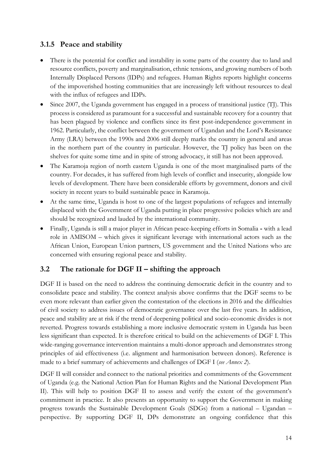### <span id="page-13-0"></span>**3.1.5 Peace and stability**

- There is the potential for conflict and instability in some parts of the country due to land and resource conflicts, poverty and marginalisation, ethnic tensions, and growing numbers of both Internally Displaced Persons (IDPs) and refugees. Human Rights reports highlight concerns of the impoverished hosting communities that are increasingly left without resources to deal with the influx of refugees and IDPs.
- $\bullet$  Since 2007, the Uganda government has engaged in a process of transitional justice (TJ). This process is considered as paramount for a successful and sustainable recovery for a country that has been plagued by violence and conflicts since its first post-independence government in 1962. Particularly, the conflict between the government of Ugandan and the Lord's Resistance Army (LRA) between the 1990s and 2006 still deeply marks the country in general and areas in the northern part of the country in particular. However, the TJ policy has been on the shelves for quite some time and in spite of strong advocacy, it still has not been approved.
- The Karamoja region of north eastern Uganda is one of the most marginalised parts of the country. For decades, it has suffered from high levels of conflict and insecurity, alongside low levels of development. There have been considerable efforts by government, donors and civil society in recent years to build sustainable peace in Karamoja.
- At the same time, Uganda is host to one of the largest populations of refugees and internally displaced with the Government of Uganda putting in place progressive policies which are and should be recognized and lauded by the international community.
- x Finally, Uganda is still a major player in African peace-keeping efforts in Somalia **-** with a lead role in AMISOM – which gives it significant leverage with international actors such as the African Union, European Union partners, US government and the United Nations who are concerned with ensuring regional peace and stability.

## <span id="page-13-1"></span>**3.2 The rationale for DGF II – shifting the approach**

DGF II is based on the need to address the continuing democratic deficit in the country and to consolidate peace and stability. The context analysis above confirms that the DGF seems to be even more relevant than earlier given the contestation of the elections in 2016 and the difficulties of civil society to address issues of democratic governance over the last five years. In addition, peace and stability are at risk if the trend of deepening political and socio-economic divides is not reverted. Progress towards establishing a more inclusive democratic system in Uganda has been less significant than expected. It is therefore critical to build on the achievements of DGF I. This wide-ranging governance intervention maintains a multi-donor approach and demonstrates strong principles of aid effectiveness (i.e. alignment and harmonisation between donors). Reference is made to a brief summary of achievements and challenges of DGF I (*see Annex 2*).

DGF II will consider and connect to the national priorities and commitments of the Government of Uganda (e.g. the National Action Plan for Human Rights and the National Development Plan II). This will help to position DGF II to assess and verify the extent of the government's commitment in practice. It also presents an opportunity to support the Government in making progress towards the Sustainable Development Goals (SDGs) from a national – Ugandan – perspective. By supporting DGF II, DPs demonstrate an ongoing confidence that this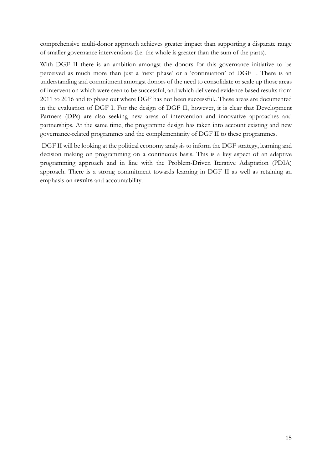comprehensive multi-donor approach achieves greater impact than supporting a disparate range of smaller governance interventions (i.e. the whole is greater than the sum of the parts).

With DGF II there is an ambition amongst the donors for this governance initiative to be perceived as much more than just a 'next phase' or a 'continuation' of DGF I. There is an understanding and commitment amongst donors of the need to consolidate or scale up those areas of intervention which were seen to be successful, and which delivered evidence based results from 2011 to 2016 and to phase out where DGF has not been successful.. These areas are documented in the evaluation of DGF I. For the design of DGF II, however, it is clear that Development Partners (DPs) are also seeking new areas of intervention and innovative approaches and partnerships. At the same time, the programme design has taken into account existing and new governance-related programmes and the complementarity of DGF II to these programmes.

DGF II will be looking at the political economy analysis to inform the DGF strategy, learning and decision making on programming on a continuous basis. This is a key aspect of an adaptive programming approach and in line with the Problem-Driven Iterative Adaptation (PDIA) approach. There is a strong commitment towards learning in DGF II as well as retaining an emphasis on **results** and accountability.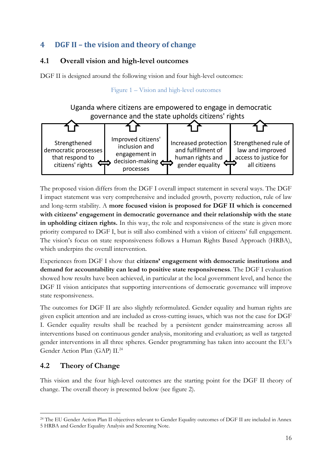## <span id="page-15-0"></span>**4 DGF II – the vision and theory of change**

## <span id="page-15-1"></span>**4.1 Overall vision and high-level outcomes**

DGF II is designed around the following vision and four high-level outcomes:

Figure 1 – Vision and high-level outcomes

Uganda where citizens are empowered to engage in democratic governance and the state upholds citizens' rights



The proposed vision differs from the DGF I overall impact statement in several ways. The DGF I impact statement was very comprehensive and included growth, poverty reduction, rule of law and long-term stability. A **more focused vision is proposed for DGF II which is concerned**  with citizens' engagement in democratic governance and their relationship with the state **in upholding citizen rights.** In this way, the role and responsiveness of the state is given more priority compared to DGF I, but is still also combined with a vision of citizens' full engagement. The vision's focus on state responsiveness follows a Human Rights Based Approach (HRBA), which underpins the overall intervention.

Experiences from DGF I show that **citizens' engagement with democratic institutions and demand for accountability can lead to positive state responsiveness**. The DGF I evaluation showed how results have been achieved, in particular at the local government level, and hence the DGF II vision anticipates that supporting interventions of democratic governance will improve state responsiveness.

The outcomes for DGF II are also slightly reformulated. Gender equality and human rights are given explicit attention and are included as cross-cutting issues, which was not the case for DGF I. Gender equality results shall be reached by a persistent gender mainstreaming across all interventions based on continuous gender analysis, monitoring and evaluation; as well as targeted gender interventions in all three spheres. Gender programming has taken into account the EU's Gender Action Plan (GAP) II.24

## <span id="page-15-2"></span>**4.2 Theory of Change**

This vision and the four high-level outcomes are the starting point for the DGF II theory of change. The overall theory is presented below (see figure 2).

<sup>&</sup>lt;sup>24</sup> The EU Gender Action Plan II objectives relevant to Gender Equality outcomes of DGF II are included in Annex 5 HRBA and Gender Equality Analysis and Screening Note.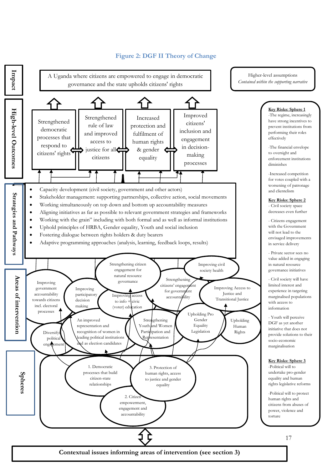

#### **Figure 2: DGF II Theory of Change**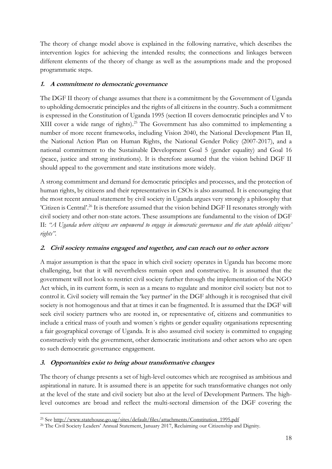The theory of change model above is explained in the following narrative, which describes the intervention logics for achieving the intended results; the connections and linkages between different elements of the theory of change as well as the assumptions made and the proposed programmatic steps.

#### **1. A commitment to democratic governance**

The DGF II theory of change assumes that there is a commitment by the Government of Uganda to upholding democratic principles and the rights of all citizens in the country. Such a commitment is expressed in the Constitution of Uganda 1995 (section II covers democratic principles and V to XIII cover a wide range of rights).<sup>25</sup> The Government has also committed to implementing a number of more recent frameworks, including Vision 2040, the National Development Plan II, the National Action Plan on Human Rights, the National Gender Policy (2007-2017), and a national commitment to the Sustainable Development Goal 5 (gender equality) and Goal 16 (peace, justice and strong institutions). It is therefore assumed that the vision behind DGF II should appeal to the government and state institutions more widely.

A strong commitment and demand for democratic principles and processes, and the protection of human rights, by citizens and their representatives in CSOs is also assumed. It is encouraging that the most recent annual statement by civil society in Uganda argues very strongly a philosophy that 'Citizen is Central'.<sup>26</sup> It is therefore assumed that the vision behind DGF II resonates strongly with civil society and other non-state actors. These assumptions are fundamental to the vision of DGF II: *"A Uganda where citizens are empowered to engage in democratic governance and the state upholds citizens' rights".*

#### **2. Civil society remains engaged and together, and can reach out to other actors**

A major assumption is that the space in which civil society operates in Uganda has become more challenging, but that it will nevertheless remain open and constructive. It is assumed that the government will not look to restrict civil society further through the implementation of the NGO Act which, in its current form, is seen as a means to regulate and monitor civil society but not to control it. Civil society will remain the 'key partner' in the DGF although it is recognised that civil society is not homogenous and that at times it can be fragmented. It is assumed that the DGF will seek civil society partners who are rooted in, or representative of, citizens and communities to include a critical mass of youth and women´s rights or gender equality organisations representing a fair geographical coverage of Uganda. It is also assumed civil society is committed to engaging constructively with the government, other democratic institutions and other actors who are open to such democratic governance engagement.

#### **3. Opportunities exist to bring about transformative changes**

The theory of change presents a set of high-level outcomes which are recognised as ambitious and aspirational in nature. It is assumed there is an appetite for such transformative changes not only at the level of the state and civil society but also at the level of Development Partners. The highlevel outcomes are broad and reflect the multi-sectoral dimension of the DGF covering the

<sup>&</sup>lt;sup>25</sup> See [http://www.statehouse.go.ug/sites/default/files/attachments/Constitution\\_1995.pdf](http://www.statehouse.go.ug/sites/default/files/attachments/Constitution_1995.pdf)

<sup>26</sup> The Civil Society Leaders' Annual Statement, January 2017, Reclaiming our Citizenship and Dignity.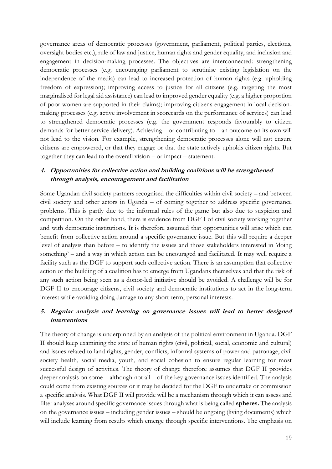governance areas of democratic processes (government, parliament, political parties, elections, oversight bodies etc.), rule of law and justice, human rights and gender equality, and inclusion and engagement in decision-making processes. The objectives are interconnected: strengthening democratic processes (e.g. encouraging parliament to scrutinise existing legislation on the independence of the media) can lead to increased protection of human rights (e.g. upholding freedom of expression); improving access to justice for all citizens (e.g. targeting the most marginalised for legal aid assistance) can lead to improved gender equality (e.g. a higher proportion of poor women are supported in their claims); improving citizens engagement in local decisionmaking processes (e.g. active involvement in scorecards on the performance of services) can lead to strengthened democratic processes (e.g. the government responds favourably to citizen demands for better service delivery). Achieving – or contributing to – an outcome on its own will not lead to the vision. For example, strengthening democratic processes alone will not ensure citizens are empowered, or that they engage or that the state actively upholds citizen rights. But together they can lead to the overall vision – or impact – statement.

#### **4. Opportunities for collective action and building coalitions will be strengthened through analysis, encouragement and facilitation**

Some Ugandan civil society partners recognised the difficulties within civil society – and between civil society and other actors in Uganda – of coming together to address specific governance problems. This is partly due to the informal rules of the game but also due to suspicion and competition. On the other hand, there is evidence from DGF I of civil society working together and with democratic institutions. It is therefore assumed that opportunities will arise which can benefit from collective action around a specific governance issue. But this will require a deeper level of analysis than before – to identify the issues and those stakeholders interested in 'doing something' – and a way in which action can be encouraged and facilitated. It may well require a facility such as the DGF to support such collective action. There is an assumption that collective action or the building of a coalition has to emerge from Ugandans themselves and that the risk of any such action being seen as a donor-led initiative should be avoided. A challenge will be for DGF II to encourage citizens, civil society and democratic institutions to act in the long-term interest while avoiding doing damage to any short-term, personal interests.

#### **5. Regular analysis and learning on governance issues will lead to better designed interventions**

The theory of change is underpinned by an analysis of the political environment in Uganda. DGF II should keep examining the state of human rights (civil, political, social, economic and cultural) and issues related to land rights, gender, conflicts, informal systems of power and patronage, civil society health, social media, youth, and social cohesion to ensure regular learning for most successful design of activities. The theory of change therefore assumes that DGF II provides deeper analysis on some – although not all – of the key governance issues identified. The analysis could come from existing sources or it may be decided for the DGF to undertake or commission a specific analysis. What DGF II will provide will be a mechanism through which it can assess and filter analyses around specific governance issues through what is being called **spheres.** The analysis on the governance issues – including gender issues – should be ongoing (living documents) which will include learning from results which emerge through specific interventions. The emphasis on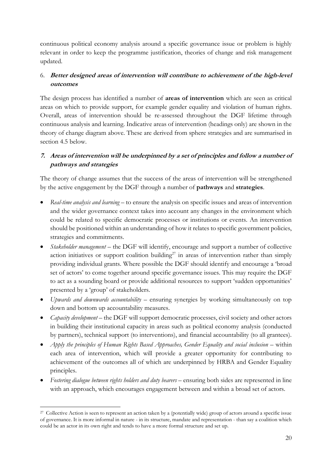continuous political economy analysis around a specific governance issue or problem is highly relevant in order to keep the programme justification, theories of change and risk management updated.

#### 6. **Better designed areas of intervention will contribute to achievement of the high-level outcomes**

The design process has identified a number of **areas of intervention** which are seen as critical areas on which to provide support, for example gender equality and violation of human rights. Overall, areas of intervention should be re-assessed throughout the DGF lifetime through continuous analysis and learning. Indicative areas of intervention (headings only) are shown in the theory of change diagram above. These are derived from sphere strategies and are summarised in section 4.5 below.

#### **7. Areas of intervention will be underpinned by a set of principles and follow a number of pathways and strategies**

The theory of change assumes that the success of the areas of intervention will be strengthened by the active engagement by the DGF through a number of **pathways** and **strategies**.

- *Real-time analysis and learning* to ensure the analysis on specific issues and areas of intervention and the wider governance context takes into account any changes in the environment which could be related to specific democratic processes or institutions or events. An intervention should be positioned within an understanding of how it relates to specific government policies, strategies and commitments.
- *Stakeholder management* the DGF will identify, encourage and support a number of collective action initiatives or support coalition building<sup>27</sup> in areas of intervention rather than simply providing individual grants. Where possible the DGF should identify and encourage a 'broad set of actors' to come together around specific governance issues. This may require the DGF to act as a sounding board or provide additional resources to support 'sudden opportunities' presented by a 'group' of stakeholders.
- x *Upwards and downwards accountability*  ensuring synergies by working simultaneously on top down and bottom up accountability measures.
- *Capacity development* the DGF will support democratic processes, civil society and other actors in building their institutional capacity in areas such as political economy analysis (conducted by partners), technical support (to interventions), and financial accountability (to all grantees).
- *Apply the principles of Human Rights Based Approaches, Gender Equality and social inclusion* within each area of intervention, which will provide a greater opportunity for contributing to achievement of the outcomes all of which are underpinned by HRBA and Gender Equality principles.
- *Fostering dialogue between rights holders and duty bearers* ensuring both sides are represented in line with an approach, which encourages engagement between and within a broad set of actors.

<sup>&</sup>lt;sup>27</sup> Collective Action is seen to represent an action taken by a (potentially wide) group of actors around a specific issue of governance. It is more informal in nature - in its structure, mandate and representation - than say a coalition which could be an actor in its own right and tends to have a more formal structure and set up.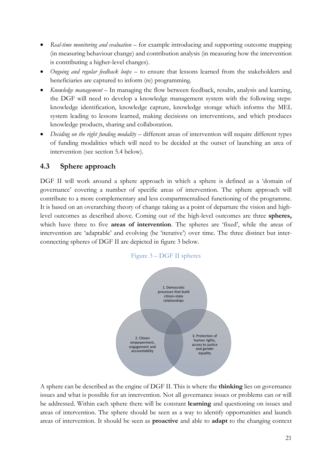- x *Real-time monitoring and evaluation* for example introducing and supporting outcome mapping (in measuring behaviour change) and contribution analysis (in measuring how the intervention is contributing a higher-level changes).
- Ongoing and regular feedback loops to ensure that lessons learned from the stakeholders and beneficiaries are captured to inform (re) programming.
- *Knowledge management* In managing the flow between feedback, results, analysis and learning, the DGF will need to develop a knowledge management system with the following steps: knowledge identification, knowledge capture, knowledge storage which informs the MEL system leading to lessons learned, making decisions on interventions, and which produces knowledge products, sharing and collaboration.
- *Deciding on the right funding modality* different areas of intervention will require different types of funding modalities which will need to be decided at the outset of launching an area of intervention (see section 5.4 below).

#### <span id="page-20-0"></span>**4.3 Sphere approach**

DGF II will work around a sphere approach in which a sphere is defined as a 'domain of governance' covering a number of specific areas of intervention. The sphere approach will contribute to a more complementary and less compartmentalised functioning of the programme. It is based on an overarching theory of change taking as a point of departure the vision and highlevel outcomes as described above. Coming out of the high-level outcomes are three **spheres,** which have three to five **areas of intervention**. The spheres are 'fixed', while the areas of intervention are 'adaptable' and evolving (be 'iterative') over time. The three distinct but interconnecting spheres of DGF II are depicted in figure 3 below.



Figure 3 – DGF II spheres

A sphere can be described as the engine of DGF II. This is where the **thinking** lies on governance issues and what is possible for an intervention. Not all governance issues or problems can or will be addressed. Within each sphere there will be constant **learning** and questioning on issues and areas of intervention. The sphere should be seen as a way to identify opportunities and launch areas of intervention. It should be seen as **proactive** and able to **adapt** to the changing context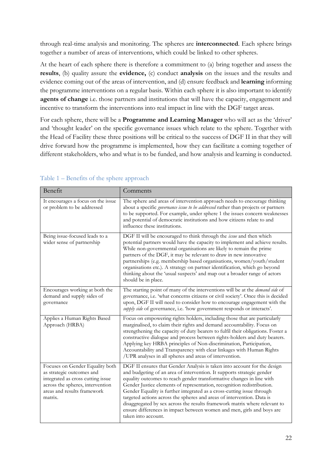through real-time analysis and monitoring. The spheres are **interconnected**. Each sphere brings together a number of areas of interventions, which could be linked to other spheres.

At the heart of each sphere there is therefore a commitment to (a) bring together and assess the **results**, (b) quality assure the **evidence,** (c) conduct **analysis** on the issues and the results and evidence coming out of the areas of intervention, and (d) ensure feedback and **learning** informing the programme interventions on a regular basis. Within each sphere it is also important to identify **agents of change** i.e. those partners and institutions that will have the capacity, engagement and incentive to transform the interventions into real impact in line with the DGF target areas.

For each sphere, there will be a **Programme and Learning Manager** who will act as the 'driver' and 'thought leader' on the specific governance issues which relate to the sphere. Together with the Head of Facility these three positions will be critical to the success of DGF II in that they will drive forward how the programme is implemented, how they can facilitate a coming together of different stakeholders, who and what is to be funded, and how analysis and learning is conducted.

| Benefit                                                                                                                                                                         | Comments                                                                                                                                                                                                                                                                                                                                                                                                                                                                                                                                                                                                                                 |
|---------------------------------------------------------------------------------------------------------------------------------------------------------------------------------|------------------------------------------------------------------------------------------------------------------------------------------------------------------------------------------------------------------------------------------------------------------------------------------------------------------------------------------------------------------------------------------------------------------------------------------------------------------------------------------------------------------------------------------------------------------------------------------------------------------------------------------|
| It encourages a focus on the issue<br>or problem to be addressed                                                                                                                | The sphere and areas of intervention approach needs to encourage thinking<br>about a specific governance issue to be addressed rather than projects or partners<br>to be supported. For example, under sphere 1 the issues concern weaknesses<br>and potential of democratic institutions and how citizens relate to and<br>influence these institutions.                                                                                                                                                                                                                                                                                |
| Being issue-focused leads to a<br>wider sense of partnership                                                                                                                    | DGF II will be encouraged to think through the issue and then which<br>potential partners would have the capacity to implement and achieve results.<br>While non-governmental organisations are likely to remain the prime<br>partners of the DGF, it may be relevant to draw in new innovative<br>partnerships (e.g. membership based organisations, women/youth/student<br>organisations etc.). A strategy on partner identification, which go beyond<br>thinking about the 'usual suspects' and map out a broader range of actors<br>should be in place.                                                                              |
| Encourages working at both the<br>demand and supply sides of<br>governance                                                                                                      | The starting point of many of the interventions will be at the <i>demand side</i> of<br>governance, i.e. 'what concerns citizens or civil society'. Once this is decided<br>upon, DGF II will need to consider how to encourage engagement with the<br>supply side of governance, i.e. 'how government responds or interacts'.                                                                                                                                                                                                                                                                                                           |
| Applies a Human Rights Based<br>Approach (HRBA)                                                                                                                                 | Focus on empowering rights holders, including those that are particularly<br>marginalised, to claim their rights and demand accountability. Focus on<br>strengthening the capacity of duty bearers to fulfil their obligations. Foster a<br>constructive dialogue and process between rights-holders and duty bearers.<br>Applying key HRBA principles of Non-discrimination, Participation,<br>Accountability and Transparency with clear linkages with Human Rights<br>/UPR analyses in all spheres and areas of intervention.                                                                                                         |
| Focuses on Gender Equality both<br>as strategic outcomes and<br>integrated as cross cutting issue<br>across the spheres, intervention<br>areas and results framework<br>matrix. | DGF II ensures that Gender Analysis is taken into account for the design<br>and budgeting of an area of intervention. It supports strategic gender<br>equality outcomes to reach gender transformative changes in line with<br>Gender Justice elements of representation, recognition redistribution.<br>Gender Equality is further integrated as a cross-cutting issue through<br>targeted actions across the spheres and areas of intervention. Data is<br>disaggregated by sex across the results framework matrix where relevant to<br>ensure differences in impact between women and men, girls and boys are<br>taken into account. |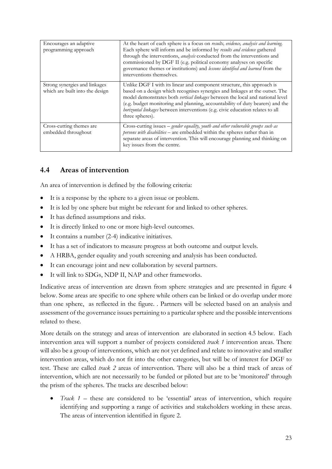| Encourages an adaptive<br>programming approach                   | At the heart of each sphere is a focus on results, evidence, analysis and learning.<br>Each sphere will inform and be informed by results and evidence gathered<br>through the interventions, <i>analysis</i> conducted from the interventions and<br>commissioned by DGF II (e.g. political economy analyses on specific<br>governance themes or institutions) and lessons identified and learned from the<br>interventions themselves. |
|------------------------------------------------------------------|------------------------------------------------------------------------------------------------------------------------------------------------------------------------------------------------------------------------------------------------------------------------------------------------------------------------------------------------------------------------------------------------------------------------------------------|
| Strong synergies and linkages<br>which are built into the design | Unlike DGF I with its linear and component structure, this approach is<br>based on a design which recognises synergies and linkages at the outset. The<br>model demonstrates both vertical linkages between the local and national level<br>(e.g. budget monitoring and planning, accountability of duty bearers) and the<br>horizontal linkages between interventions (e.g. civic education relates to all<br>three spheres).           |
| Cross-cutting themes are<br>embedded throughout                  | Cross-cutting issues - gender equality, youth and other vulnerable groups such as<br>persons with disabilities - are embedded within the spheres rather than in<br>separate areas of intervention. This will encourage planning and thinking on<br>key issues from the centre.                                                                                                                                                           |

## <span id="page-22-0"></span>**4.4 Areas of intervention**

An area of intervention is defined by the following criteria:

- $\bullet$  It is a response by the sphere to a given issue or problem.
- It is led by one sphere but might be relevant for and linked to other spheres.
- It has defined assumptions and risks.
- It is directly linked to one or more high-level outcomes.
- $\bullet$  It contains a number (2-4) indicative initiatives.
- It has a set of indicators to measure progress at both outcome and output levels.
- A HRBA, gender equality and youth screening and analysis has been conducted.
- It can encourage joint and new collaboration by several partners.
- It will link to SDGs, NDP II, NAP and other frameworks.

Indicative areas of intervention are drawn from sphere strategies and are presented in figure 4 below. Some areas are specific to one sphere while others can be linked or do overlap under more than one sphere, as reflected in the figure. . Partners will be selected based on an analysis and assessment of the governance issues pertaining to a particular sphere and the possible interventions related to these.

More details on the strategy and areas of intervention are elaborated in section 4.5 below. Each intervention area will support a number of projects considered *track 1* intervention areas. There will also be a group of interventions, which are not yet defined and relate to innovative and smaller intervention areas, which do not fit into the other categories, but will be of interest for DGF to test. These are called *track 2* areas of intervention*.* There will also be a third track of areas of intervention, which are not necessarily to be funded or piloted but are to be 'monitored' through the prism of the spheres. The tracks are described below:

x *Track 1* – these are considered to be 'essential' areas of intervention, which require identifying and supporting a range of activities and stakeholders working in these areas. The areas of intervention identified in figure 2.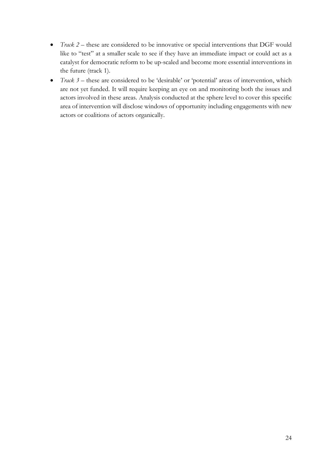- *Track 2* these are considered to be innovative or special interventions that DGF would like to "test" at a smaller scale to see if they have an immediate impact or could act as a catalyst for democratic reform to be up-scaled and become more essential interventions in the future (track 1).
- $\bullet$  *Track 3* these are considered to be 'desirable' or 'potential' areas of intervention, which are not yet funded. It will require keeping an eye on and monitoring both the issues and actors involved in these areas. Analysis conducted at the sphere level to cover this specific area of intervention will disclose windows of opportunity including engagements with new actors or coalitions of actors organically.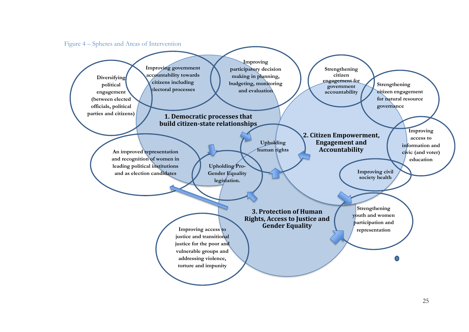

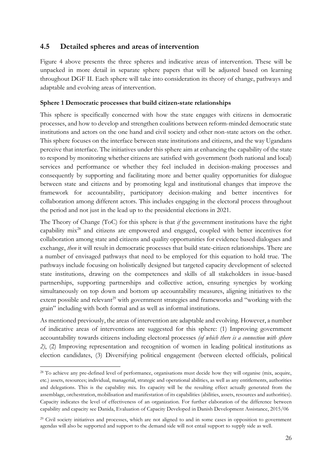#### <span id="page-25-0"></span>**4.5 Detailed spheres and areas of intervention**

Figure 4 above presents the three spheres and indicative areas of intervention. These will be unpacked in more detail in separate sphere papers that will be adjusted based on learning throughout DGF II. Each sphere will take into consideration its theory of change, pathways and adaptable and evolving areas of intervention.

#### **Sphere 1 Democratic processes that build citizen-state relationships**

This sphere is specifically concerned with how the state engages with citizens in democratic processes, and how to develop and strengthen coalitions between reform-minded democratic state institutions and actors on the one hand and civil society and other non-state actors on the other. This sphere focuses on the interface between state institutions and citizens, and the way Ugandans perceive that interface. The initiatives under this sphere aim at enhancing the capability of the state to respond by monitoring whether citizens are satisfied with government (both national and local) services and performance or whether they feel included in decision-making processes and consequently by supporting and facilitating more and better quality opportunities for dialogue between state and citizens and by promoting legal and institutional changes that improve the framework for accountability, participatory decision-making and better incentives for collaboration among different actors. This includes engaging in the electoral process throughout the period and not just in the lead up to the presidential elections in 2021.

The Theory of Change (ToC) for this sphere is that *if* the government institutions have the right capability mix28 and citizens are empowered and engaged, coupled with better incentives for collaboration among state and citizens and quality opportunities for evidence based dialogues and exchange, *then* it will result in democratic processes that build state-citizen relationships. There are a number of envisaged pathways that need to be employed for this equation to hold true. The pathways include focusing on holistically designed but targeted capacity development of selected state institutions, drawing on the competences and skills of all stakeholders in issue-based partnerships, supporting partnerships and collective action, ensuring synergies by working simultaneously on top down and bottom up accountability measures, aligning initiatives to the extent possible and relevant<sup>29</sup> with government strategies and frameworks and "working with the grain" including with both formal and as well as informal institutions.

As mentioned previously, the areas of intervention are adaptable and evolving. However, a number of indicative areas of interventions are suggested for this sphere: (1) Improving government accountability towards citizens including electoral processes *(of which there is a connection with sphere 2)*, (2) Improving representation and recognition of women in leading political institutions as election candidates, (3) Diversifying political engagement (between elected officials, political

<sup>&</sup>lt;sup>28</sup> To achieve any pre-defined level of performance, organisations must decide how they will organise (mix, acquire, etc.) assets, resources; individual, managerial, strategic and operational abilities, as well as any entitlements, authorities and delegations. This is the capability mix. Its capacity will be the resulting effect actually generated from the assemblage, orchestration, mobilisation and manifestation of its capabilities (abilities, assets, resources and authorities). Capacity indicates the level of effectiveness of an organization. For further elaboration of the difference between capability and capacity see Danida, Evaluation of Capacity Developed in Danish Development Assistance, 2015/06

<sup>&</sup>lt;sup>29</sup> Civil society initiatives and processes, which are not aligned to and in some cases in opposition to government agendas will also be supported and support to the demand side will not entail support to supply side as well.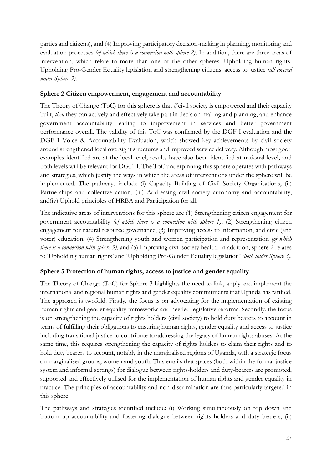parties and citizens), and (4) Improving participatory decision-making in planning, monitoring and evaluation processes *(of which there is a connection with sphere 2)*. In addition, there are three areas of intervention, which relate to more than one of the other spheres: Upholding human rights, Upholding Pro-Gender Equality legislation and strengthening citizens' access to justice *(all covered under Sphere 3).*

#### **Sphere 2 Citizen empowerment, engagement and accountability**

The Theory of Change (ToC) for this sphere is that *if* civil society is empowered and their capacity built, *then* they can actively and effectively take part in decision making and planning, and enhance government accountability leading to improvement in services and better government performance overall. The validity of this ToC was confirmed by the DGF I evaluation and the DGF I Voice & Accountability Evaluation, which showed key achievements by civil society around strengthened local oversight structures and improved service delivery. Although most good examples identified are at the local level, results have also been identified at national level, and both levels will be relevant for DGF II. The ToC underpinning this sphere operates with pathways and strategies, which justify the ways in which the areas of interventions under the sphere will be implemented. The pathways include (i) Capacity Building of Civil Society Organisations, (ii) Partnerships and collective action, (iii) Addressing civil society autonomy and accountability, and(iv) Uphold principles of HRBA and Participation for all.

The indicative areas of interventions for this sphere are (1) Strengthening citizen engagement for government accountability *(of which there is a connection with sphere 1)*, (2) Strengthening citizen engagement for natural resource governance, (3) Improving access to information, and civic (and voter) education, (4) Strengthening youth and women participation and representation *(of which there is a connection with sphere 3)*, and (5) Improving civil society health. In addition, sphere 2 relates to 'Upholding human rights' and 'Upholding Pro-Gender Equality legislation' *(both under Sphere 3).* 

#### **Sphere 3 Protection of human rights, access to justice and gender equality**

The Theory of Change (ToC) for Sphere 3 highlights the need to link, apply and implement the international and regional human rights and gender equality commitments that Uganda has ratified. The approach is twofold. Firstly, the focus is on advocating for the implementation of existing human rights and gender equality frameworks and needed legislative reforms. Secondly, the focus is on strengthening the capacity of rights holders (civil society) to hold duty bearers to account in terms of fulfilling their obligations to ensuring human rights, gender equality and access to justice including transitional justice to contribute to addressing the legacy of human rights abuses. At the same time, this requires strengthening the capacity of rights holders to claim their rights and to hold duty bearers to account, notably in the marginalised regions of Uganda, with a strategic focus on marginalised groups, women and youth. This entails that spaces (both within the formal justice system and informal settings) for dialogue between rights-holders and duty-bearers are promoted, supported and effectively utilised for the implementation of human rights and gender equality in practice. The principles of accountability and non-discrimination are thus particularly targeted in this sphere.

The pathways and strategies identified include: (i) Working simultaneously on top down and bottom up accountability and fostering dialogue between rights holders and duty bearers, (ii)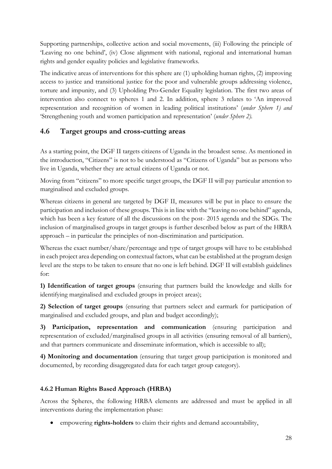Supporting partnerships, collective action and social movements, (iii) Following the principle of 'Leaving no one behind', (iv) Close alignment with national, regional and international human rights and gender equality policies and legislative frameworks.

The indicative areas of interventions for this sphere are (1) upholding human rights, (2) improving access to justice and transitional justice for the poor and vulnerable groups addressing violence, torture and impunity, and (3) Upholding Pro-Gender Equality legislation. The first two areas of intervention also connect to spheres 1 and 2. In addition, sphere 3 relates to 'An improved representation and recognition of women in leading political institutions' (*under Sphere 1) and*  'Strengthening youth and women participation and representation' (*under Sphere 2).*

## <span id="page-27-0"></span>**4.6 Target groups and cross-cutting areas**

As a starting point, the DGF II targets citizens of Uganda in the broadest sense. As mentioned in the introduction, "Citizens" is not to be understood as "Citizens of Uganda" but as persons who live in Uganda, whether they are actual citizens of Uganda or not.

Moving from "citizens" to more specific target groups, the DGF II will pay particular attention to marginalised and excluded groups.

Whereas citizens in general are targeted by DGF II, measures will be put in place to ensure the participation and inclusion of these groups. This is in line with the "leaving no one behind" agenda, which has been a key feature of all the discussions on the post- 2015 agenda and the SDGs. The inclusion of marginalised groups in target groups is further described below as part of the HRBA approach – in particular the principles of non-discrimination and participation.

Whereas the exact number/share/percentage and type of target groups will have to be established in each project area depending on contextual factors, what can be established at the program design level are the steps to be taken to ensure that no one is left behind. DGF II will establish guidelines for:

**1) Identification of target groups** (ensuring that partners build the knowledge and skills for identifying marginalised and excluded groups in project areas);

**2) Selection of target groups** (ensuring that partners select and earmark for participation of marginalised and excluded groups, and plan and budget accordingly);

**3) Participation, representation and communication** (ensuring participation and representation of excluded/marginalised groups in all activities (ensuring removal of all barriers), and that partners communicate and disseminate information, which is accessible to all);

**4) Monitoring and documentation** (ensuring that target group participation is monitored and documented, by recording disaggregated data for each target group category).

#### **4.6.2 Human Rights Based Approach (HRBA)**

Across the Spheres, the following HRBA elements are addressed and must be applied in all interventions during the implementation phase:

x empowering **rights-holders** to claim their rights and demand accountability,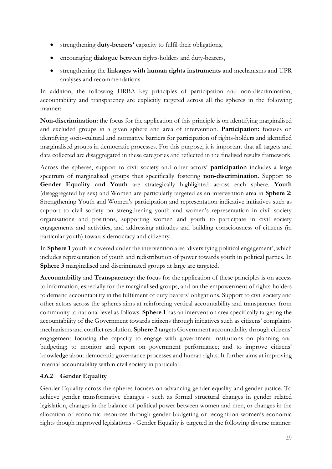- x strengthening **duty-bearers'** capacity to fulfil their obligations,
- **•** encouraging **dialogue** between rights-holders and duty-bearers,
- x strengthening the **linkages with human rights instruments** and mechanisms and UPR analyses and recommendations.

In addition, the following HRBA key principles of participation and non-discrimination, accountability and transparency are explicitly targeted across all the spheres in the following manner:

**Non-discrimination:** the focus for the application of this principle is on identifying marginalised and excluded groups in a given sphere and area of intervention. **Participation:** focuses on identifying socio-cultural and normative barriers for participation of rights-holders and identified marginalised groups in democratic processes. For this purpose, it is important that all targets and data collected are disaggregated in these categories and reflected in the finalised results framework.

Across the spheres, support to civil society and other actors' **participation** includes a large spectrum of marginalised groups thus specifically fostering **non-discrimination**. Support **to Gender Equality and Youth** are strategically highlighted across each sphere. **Youth** (disaggregated by sex) and Women are particularly targeted as an intervention area in **Sphere 2:** Strengthening Youth and Women's participation and representation indicative initiatives such as support to civil society on strengthening youth and women's representation in civil society organisations and positions, supporting women and youth to participate in civil society engagements and activities, and addressing attitudes and building consciousness of citizens (in particular youth) towards democracy and citizenry.

In **Sphere 1** youth is covered under the intervention area 'diversifying political engagement', which includes representation of youth and redistribution of power towards youth in political parties. In **Sphere 3** marginalised and discriminated groups at large are targeted.

**Accountability** and **Transparency:** the focus for the application of these principles is on access to information, especially for the marginalised groups, and on the empowerment of rights-holders to demand accountability in the fulfilment of duty bearers' obligations. Support to civil society and other actors across the spheres aims at reinforcing vertical accountability and transparency from community to national level as follows: **Sphere 1** has an intervention area specifically targeting the accountability of the Government towards citizens through initiatives such as citizens' complaints mechanisms and conflict resolution. **Sphere 2** targets Government accountability through citizens' engagement focusing the capacity to engage with government institutions on planning and budgeting; to monitor and report on government performance; and to improve citizens' knowledge about democratic governance processes and human rights. It further aims at improving internal accountability within civil society in particular.

#### **4.6.2 Gender Equality**

Gender Equality across the spheres focuses on advancing gender equality and gender justice. To achieve gender transformative changes - such as formal structural changes in gender related legislation, changes in the balance of political power between women and men, or changes in the allocation of economic resources through gender budgeting or recognition women's economic rights though improved legislations - Gender Equality is targeted in the following diverse manner: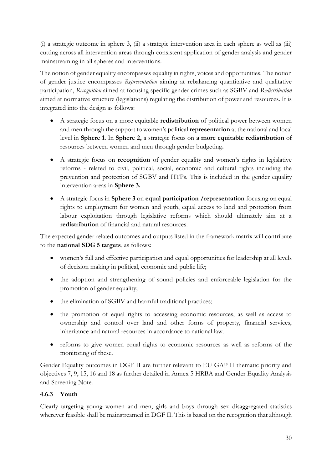(i) a strategic outcome in sphere 3, (ii) a strategic intervention area in each sphere as well as (iii) cutting across all intervention areas through consistent application of gender analysis and gender mainstreaming in all spheres and interventions.

The notion of gender equality encompasses equality in rights, voices and opportunities. The notion of gender justice encompasses *Representation* aiming at rebalancing quantitative and qualitative participation, *Recognition* aimed at focusing specific gender crimes such as SGBV and *Redistribution* aimed at normative structure (legislations) regulating the distribution of power and resources. It is integrated into the design as follows:

- x A strategic focus on a more equitable **redistribution** of political power between women and men through the support to women's political **representation** at the national and local level in **Sphere 1**. In **Sphere 2,** a strategic focus on **a more equitable redistribution** of resources between women and men through gender budgeting**.**
- x A strategic focus on **recognition** of gender equality and women's rights in legislative reforms - related to civil, political, social, economic and cultural rights including the prevention and protection of SGBV and HTPs. This is included in the gender equality intervention areas in **Sphere 3.**
- x A strategic focus in **Sphere 3** on **equal participation /representation** focusing on equal rights to employment for women and youth, equal access to land and protection from labour exploitation through legislative reforms which should ultimately aim at a **redistribution** of financial and natural resources.

The expected gender related outcomes and outputs listed in the framework matrix will contribute to the **national SDG 5 targets**, as follows:

- x women's full and effective participation and equal opportunities for leadership at all levels of decision making in political, economic and public life;
- the adoption and strengthening of sound policies and enforceable legislation for the promotion of gender equality;
- $\bullet$  the elimination of SGBV and harmful traditional practices;
- the promotion of equal rights to accessing economic resources, as well as access to ownership and control over land and other forms of property, financial services, inheritance and natural resources in accordance to national law.
- reforms to give women equal rights to economic resources as well as reforms of the monitoring of these.

Gender Equality outcomes in DGF II are further relevant to EU GAP II thematic priority and objectives 7, 9, 15, 16 and 18 as further detailed in Annex 5 HRBA and Gender Equality Analysis and Screening Note.

#### **4.6.3 Youth**

Clearly targeting young women and men, girls and boys through sex disaggregated statistics wherever feasible shall be mainstreamed in DGF II. This is based on the recognition that although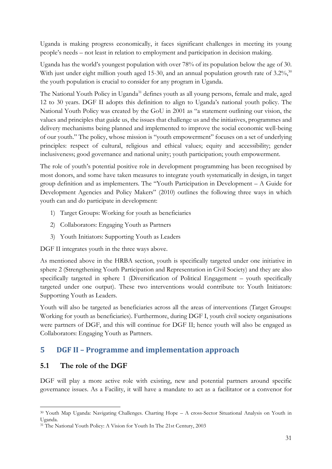Uganda is making progress economically, it faces significant challenges in meeting its young people's needs – not least in relation to employment and participation in decision making.

Uganda has the world's youngest population with over 78% of its population below the age of 30. With just under eight million youth aged 15-30, and an annual population growth rate of 3.2%,<sup>30</sup> the youth population is crucial to consider for any program in Uganda.

The [National Youth Policy](http://www.youthpolicy.org/national/Uganda_2001_National_Youth_Policy.pdf) in Uganda<sup>31</sup> defines youth as all young persons, female and male, aged 12 to 30 years. DGF II adopts this definition to align to Uganda's national youth policy. The National Youth Policy was created by the GoU in 2001 as "a statement outlining our vision, the values and principles that guide us, the issues that challenge us and the initiatives, programmes and delivery mechanisms being planned and implemented to improve the social economic well-being of our youth." The policy, whose mission is "youth empowerment" focuses on a set of underlying principles: respect of cultural, religious and ethical values; equity and accessibility; gender inclusiveness; good governance and national unity; youth participation; youth empowerment.

The role of youth's potential positive role in development programming has been recognised by most donors, and some have taken measures to integrate youth systematically in design, in target group definition and as implementers. The "Youth Participation in Development – A Guide for Development Agencies and Policy Makers" (2010) outlines the following three ways in which youth can and do participate in development:

- 1) Target Groups: Working for youth as beneficiaries
- 2) Collaborators: Engaging Youth as Partners
- 3) Youth Initiators: Supporting Youth as Leaders

DGF II integrates youth in the three ways above.

As mentioned above in the HRBA section, youth is specifically targeted under one initiative in sphere 2 (Strengthening Youth Participation and Representation in Civil Society) and they are also specifically targeted in sphere 1 (Diversification of Political Engagement – youth specifically targeted under one output). These two interventions would contribute to: Youth Initiators: Supporting Youth as Leaders.

Youth will also be targeted as beneficiaries across all the areas of interventions (Target Groups: Working for youth as beneficiaries). Furthermore, during DGF I, youth civil society organisations were partners of DGF, and this will continue for DGF II; hence youth will also be engaged as Collaborators: Engaging Youth as Partners.

## <span id="page-30-0"></span>**5 DGF II – Programme and implementation approach**

#### <span id="page-30-1"></span>**5.1 The role of the DGF**

DGF will play a more active role with existing, new and potential partners around specific governance issues. As a Facility, it will have a mandate to act as a facilitator or a convenor for

 <sup>30</sup> Youth Map Uganda: Navigating Challenges. Charting Hope – A cross-Sector Situational Analysis on Youth in Uganda.

<sup>&</sup>lt;sup>31</sup> The National Youth Policy: A Vision for Youth In The 21st Century, 2003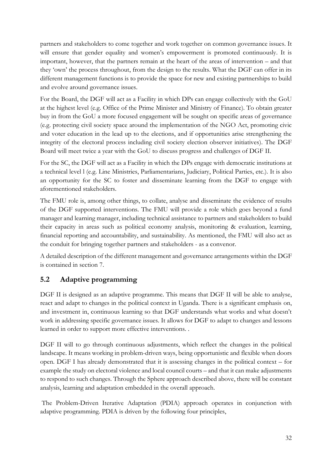partners and stakeholders to come together and work together on common governance issues. It will ensure that gender equality and women's empowerment is promoted continuously. It is important, however, that the partners remain at the heart of the areas of intervention – and that they 'own' the process throughout, from the design to the results. What the DGF can offer in its different management functions is to provide the space for new and existing partnerships to build and evolve around governance issues.

For the Board, the DGF will act as a Facility in which DPs can engage collectively with the GoU at the highest level (e.g. Office of the Prime Minister and Ministry of Finance). To obtain greater buy in from the GoU a more focused engagement will be sought on specific areas of governance (e.g. protecting civil society space around the implementation of the NGO Act, promoting civic and voter education in the lead up to the elections, and if opportunities arise strengthening the integrity of the electoral process including civil society election observer initiatives). The DGF Board will meet twice a year with the GoU to discuss progress and challenges of DGF II.

For the SC, the DGF will act as a Facility in which the DPs engage with democratic institutions at a technical level l (e.g. Line Ministries, Parliamentarians, Judiciary, Political Parties, etc.). It is also an opportunity for the SC to foster and disseminate learning from the DGF to engage with aforementioned stakeholders.

The FMU role is, among other things, to collate, analyse and disseminate the evidence of results of the DGF supported interventions. The FMU will provide a role which goes beyond a fund manager and learning manager, including technical assistance to partners and stakeholders to build their capacity in areas such as political economy analysis, monitoring & evaluation, learning, financial reporting and accountability, and sustainability. As mentioned, the FMU will also act as the conduit for bringing together partners and stakeholders - as a convenor.

A detailed description of the different management and governance arrangements within the DGF is contained in section 7.

## <span id="page-31-0"></span>**5.2 Adaptive programming**

DGF II is designed as an adaptive programme. This means that DGF II will be able to analyse, react and adapt to changes in the political context in Uganda. There is a significant emphasis on, and investment in, continuous learning so that DGF understands what works and what doesn't work in addressing specific governance issues. It allows for DGF to adapt to changes and lessons learned in order to support more effective interventions. .

DGF II will to go through continuous adjustments, which reflect the changes in the political landscape. It means working in problem-driven ways, being opportunistic and flexible when doors open. DGF I has already demonstrated that it is assessing changes in the political context – for example the study on electoral violence and local council courts – and that it can make adjustments to respond to such changes. Through the Sphere approach described above, there will be constant analysis, learning and adaptation embedded in the overall approach.

The Problem-Driven Iterative Adaptation (PDIA) approach operates in conjunction with adaptive programming. PDIA is driven by the following four principles,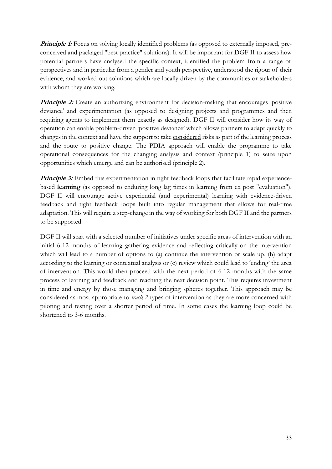**Principle 1:** Focus on solving locally identified problems (as opposed to externally imposed, preconceived and packaged "best practice" solutions). It will be important for DGF II to assess how potential partners have analysed the specific context, identified the problem from a range of perspectives and in particular from a gender and youth perspective, understood the rigour of their evidence, and worked out solutions which are locally driven by the communities or stakeholders with whom they are working.

**Principle 2:** Create an authorizing environment for decision-making that encourages 'positive deviance' and experimentation (as opposed to designing projects and programmes and then requiring agents to implement them exactly as designed). DGF II will consider how its way of operation can enable problem-driven 'positive deviance' which allows partners to adapt quickly to changes in the context and have the support to take considered risks as part of the learning process and the route to positive change. The PDIA approach will enable the programme to take operational consequences for the changing analysis and context (principle 1) to seize upon opportunities which emerge and can be authorised (principle 2).

**Principle 3:** Embed this experimentation in tight feedback loops that facilitate rapid experiencebased **learning** (as opposed to enduring long lag times in learning from ex post "evaluation"). DGF II will encourage active experiential (and experimental) learning with evidence-driven feedback and tight feedback loops built into regular management that allows for real-time adaptation. This will require a step-change in the way of working for both DGF II and the partners to be supported.

DGF II will start with a selected number of initiatives under specific areas of intervention with an initial 6-12 months of learning gathering evidence and reflecting critically on the intervention which will lead to a number of options to (a) continue the intervention or scale up, (b) adapt according to the learning or contextual analysis or (c) review which could lead to 'ending' the area of intervention. This would then proceed with the next period of 6-12 months with the same process of learning and feedback and reaching the next decision point. This requires investment in time and energy by those managing and bringing spheres together. This approach may be considered as most appropriate to *track 2* types of intervention as they are more concerned with piloting and testing over a shorter period of time. In some cases the learning loop could be shortened to 3-6 months.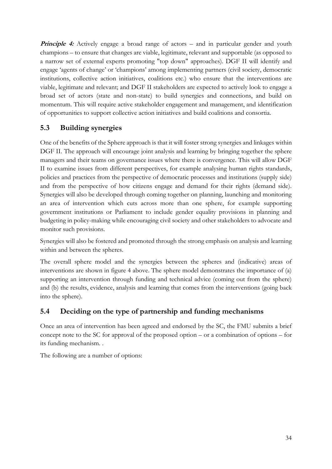**Principle 4:** Actively engage a broad range of actors – and in particular gender and youth champions – to ensure that changes are viable, legitimate, relevant and supportable (as opposed to a narrow set of external experts promoting "top down" approaches). DGF II will identify and engage 'agents of change' or 'champions' among implementing partners (civil society, democratic institutions, collective action initiatives, coalitions etc.) who ensure that the interventions are viable, legitimate and relevant; and DGF II stakeholders are expected to actively look to engage a broad set of actors (state and non-state) to build synergies and connections, and build on momentum. This will require active stakeholder engagement and management, and identification of opportunities to support collective action initiatives and build coalitions and consortia.

## <span id="page-33-0"></span>**5.3 Building synergies**

One of the benefits of the Sphere approach is that it will foster strong synergies and linkages within DGF II. The approach will encourage joint analysis and learning by bringing together the sphere managers and their teams on governance issues where there is convergence. This will allow DGF II to examine issues from different perspectives, for example analysing human rights standards, policies and practices from the perspective of democratic processes and institutions (supply side) and from the perspective of how citizens engage and demand for their rights (demand side). Synergies will also be developed through coming together on planning, launching and monitoring an area of intervention which cuts across more than one sphere, for example supporting government institutions or Parliament to include gender equality provisions in planning and budgeting in policy-making while encouraging civil society and other stakeholders to advocate and monitor such provisions.

Synergies will also be fostered and promoted through the strong emphasis on analysis and learning within and between the spheres.

The overall sphere model and the synergies between the spheres and (indicative) areas of interventions are shown in figure 4 above. The sphere model demonstrates the importance of (a) supporting an intervention through funding and technical advice (coming out from the sphere) and (b) the results, evidence, analysis and learning that comes from the interventions (going back into the sphere).

## <span id="page-33-1"></span>**5.4 Deciding on the type of partnership and funding mechanisms**

Once an area of intervention has been agreed and endorsed by the SC, the FMU submits a brief concept note to the SC for approval of the proposed option – or a combination of options – for its funding mechanism. .

The following are a number of options: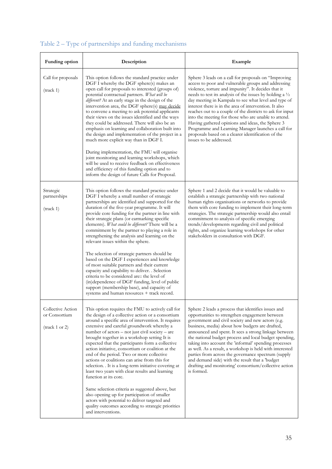| Funding option<br>Description                                           |                                                                                                                                                                                                                                                                                                                                                                                                                                                                                                                                                                                                                                                                                                                                                                                                                                                                                                           | Example                                                                                                                                                                                                                                                                                                                                                                                                                                                                                                                                                                                                                                                                     |  |  |  |
|-------------------------------------------------------------------------|-----------------------------------------------------------------------------------------------------------------------------------------------------------------------------------------------------------------------------------------------------------------------------------------------------------------------------------------------------------------------------------------------------------------------------------------------------------------------------------------------------------------------------------------------------------------------------------------------------------------------------------------------------------------------------------------------------------------------------------------------------------------------------------------------------------------------------------------------------------------------------------------------------------|-----------------------------------------------------------------------------------------------------------------------------------------------------------------------------------------------------------------------------------------------------------------------------------------------------------------------------------------------------------------------------------------------------------------------------------------------------------------------------------------------------------------------------------------------------------------------------------------------------------------------------------------------------------------------------|--|--|--|
| Call for proposals<br>(track 1)                                         | This option follows the standard practice under<br>DGF I whereby the DGF sphere(s) makes an<br>open call for proposals to interested (groups of)<br>potential contractual partners. What will be<br>different? At an early stage in the design of the<br>intervention area, the DGF sphere(s) may decide<br>to convene a meeting to ask potential applicants<br>their views on the issues identified and the ways<br>they could be addressed. There will also be an<br>emphasis on learning and collaboration built into<br>the design and implementation of the project in a<br>much more explicit way than in DGF I.<br>During implementation, the FMU will organise<br>joint monitoring and learning workshops, which<br>will be used to receive feedback on effectiveness<br>and efficiency of this funding option and to<br>inform the design of future Calls for Proposal.                          | Sphere 3 leads on a call for proposals on "Improving<br>access to poor and vulnerable groups and addressing<br>violence, torture and impunity". It decides that it<br>needs to test its analysis of the issues by holding a $\frac{1}{2}$<br>day meeting in Kampala to see what level and type of<br>interest there is in the area of intervention. It also<br>reaches out to a couple of the districts to ask for input<br>into the meeting for those who are unable to attend.<br>Having gathered opinions and ideas, the Sphere 3<br>Programme and Learning Manager launches a call for<br>proposals based on a clearer identification of the<br>issues to be addressed. |  |  |  |
| Strategic<br>partnerships<br>(track 1)                                  | This option follows the standard practice under<br>DGF I whereby a small number of strategic<br>partnerships are identified and supported for the<br>duration of the five-year programme. It will<br>provide core funding for the partner in line with<br>their strategic plans (or earmarking specific<br>elements). What could be different? There will be a<br>commitment by the partner to playing a role in<br>strengthening the analysis and learning on the<br>relevant issues within the sphere.<br>The selection of strategic partners should be<br>based on the DGF I experiences and knowledge<br>of most suitable partners and their current<br>capacity and capability to deliver. . Selection<br>criteria to be considered are: the level of<br>(in)dependence of DGF funding, level of public<br>support (membership base), and capacity of<br>systems and human resources + track record. | Sphere 1 and 2 decide that it would be valuable to<br>establish a strategic partnership with two national<br>human rights organisations or networks to provide<br>them with core funding to implement their long-term<br>strategies. The strategic partnership would also entail<br>commitment to analysis of specific emerging<br>trends/developments regarding civil and political<br>rights, and organize learning workshops for other<br>stakeholders in consultation with DGF.                                                                                                                                                                                         |  |  |  |
| Collective Action<br>or Consortium<br>$(\text{track } 1 \text{ or } 2)$ | This option requires the FMU to actively call for<br>the design of a collective action or a consortium<br>around a specific area of intervention. It requires<br>extensive and careful groundwork whereby a<br>number of actors – not just civil society – are<br>brought together in a workshop setting It is<br>expected that the participants form a collective<br>action initiative, consortium or coalition at the<br>end of the period. Two or more collective<br>actions or coalitions can arise from this for<br>selection. It is a long-term initiative covering at<br>least two years with clear results and learning<br>function at its core.<br>Same selection criteria as suggested above, but<br>also opening up for participation of smaller<br>actors with potential to deliver targeted and<br>quality outcomes according to strategic priorities<br>and interventions.                  | Sphere 2 leads a process that identifies issues and<br>opportunities to strengthen engagement between<br>government and civil society and new actors (e.g.<br>business, media) about how budgets are drafted,<br>announced and spent. It sees a strong linkage between<br>the national budget process and local budget spending,<br>taking into account the 'informal' spending processes<br>as well. As a result, a workshop is held with interested<br>parties from across the governance spectrum (supply<br>and demand side) with the result that a 'budget<br>drafting and monitoring' consortium/collective action<br>is formed.                                      |  |  |  |

# Table 2 – Type of partnerships and funding mechanisms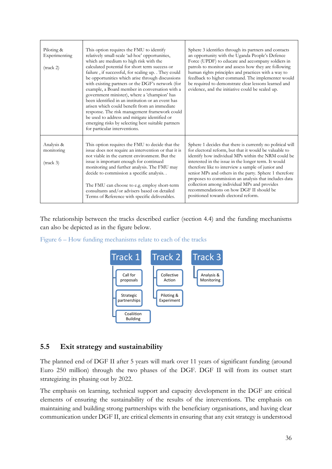| Piloting &<br>Experimenting<br>$(\text{track } 2)$ | This option requires the FMU to identify<br>relatively small-scale 'ad-hoc' opportunities,<br>which are medium to high risk with the<br>calculated potential for short term success or<br>failure, if successful, for scaling up. . They could<br>be opportunities which arise through discussions<br>with existing partners or the DGF's network (for<br>example, a Board member in conversation with a<br>government minister), where a 'champion' has<br>been identified in an institution or an event has<br>arisen which could benefit from an immediate<br>response. The risk management framework could<br>be used to address and mitigate identified or<br>emerging risks by selecting best suitable partners<br>for particular interventions. | Sphere 3 identifies through its partners and contacts<br>an opportunity with the Uganda People's Defence<br>Force (UPDF) to educate and accompany soldiers in<br>patrols to monitor and assess how they are following<br>human rights principles and practices with a way to<br>feedback to higher command. The implementer would<br>be required to demonstrate clear lessons learned and<br>evidence, and the initiative could be scaled up.                                                                                                   |
|----------------------------------------------------|--------------------------------------------------------------------------------------------------------------------------------------------------------------------------------------------------------------------------------------------------------------------------------------------------------------------------------------------------------------------------------------------------------------------------------------------------------------------------------------------------------------------------------------------------------------------------------------------------------------------------------------------------------------------------------------------------------------------------------------------------------|-------------------------------------------------------------------------------------------------------------------------------------------------------------------------------------------------------------------------------------------------------------------------------------------------------------------------------------------------------------------------------------------------------------------------------------------------------------------------------------------------------------------------------------------------|
| Analysis &<br>monitoring<br>(track 3)              | This option requires the FMU to decide that the<br>issue does not require an intervention or that it is<br>not viable in the current environment. But the<br>issue is important enough for continued<br>monitoring and further analysis. The FMU may<br>decide to commission a specific analysis. .<br>The FMU can choose to e.g. employ short-term<br>consultants and/or advisers based on detailed<br>Terms of Reference with specific deliverables.                                                                                                                                                                                                                                                                                                 | Sphere 1 decides that there is currently no political will<br>for electoral reform, but that it would be valuable to<br>identify how individual MPs within the NRM could be<br>interested in the issue in the longer term. It would<br>therefore like to interview a sample of junior and<br>senior MPs and others in the party. Sphere 1 therefore<br>proposes to commission an analysis that includes data<br>collection among individual MPs and provides<br>recommendations on how DGF II should be<br>positioned towards electoral reform. |

The relationship between the tracks described earlier (section 4.4) and the funding mechanisms can also be depicted as in the figure below.

Figure 6 – How funding mechanisms relate to each of the tracks



#### <span id="page-35-0"></span>**5.5 Exit strategy and sustainability**

The planned end of DGF II after 5 years will mark over 11 years of significant funding (around Euro 250 million) through the two phases of the DGF. DGF II will from its outset start strategizing its phasing out by 2022.

The emphasis on learning, technical support and capacity development in the DGF are critical elements of ensuring the sustainability of the results of the interventions. The emphasis on maintaining and building strong partnerships with the beneficiary organisations, and having clear communication under DGF II, are critical elements in ensuring that any exit strategy is understood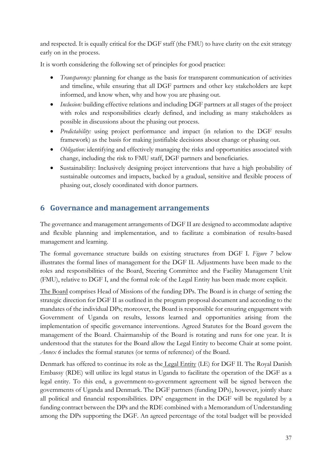and respected. It is equally critical for the DGF staff (the FMU) to have clarity on the exit strategy early on in the process.

It is worth considering the following set of principles for good practice:

- *Transparency:* planning for change as the basis for transparent communication of activities and timeline, while ensuring that all DGF partners and other key stakeholders are kept informed, and know when, why and how you are phasing out.
- *Inclusion:* building effective relations and including DGF partners at all stages of the project with roles and responsibilities clearly defined, and including as many stakeholders as possible in discussions about the phasing out process.
- *Predictability:* using project performance and impact (in relation to the DGF results framework) as the basis for making justifiable decisions about change or phasing out.
- *Obligation:* identifying and effectively managing the risks and opportunities associated with change, including the risk to FMU staff, DGF partners and beneficiaries.
- Sustainability: Inclusively designing project interventions that have a high probability of sustainable outcomes and impacts, backed by a gradual, sensitive and flexible process of phasing out, closely coordinated with donor partners.

## <span id="page-36-0"></span>**6 Governance and management arrangements**

The governance and management arrangements of DGF II are designed to accommodate adaptive and flexible planning and implementation, and to facilitate a combination of results-based management and learning.

The formal governance structure builds on existing structures from DGF I. *Figure 7* below illustrates the formal lines of management for the DGF II. Adjustments have been made to the roles and responsibilities of the Board, Steering Committee and the Facility Management Unit (FMU), relative to DGF I, and the formal role of the Legal Entity has been made more explicit.

The Board comprises Head of Missions of the funding DPs. The Board is in charge of setting the strategic direction for DGF II as outlined in the program proposal document and according to the mandates of the individual DPs; moreover, the Board is responsible for ensuring engagement with Government of Uganda on results, lessons learned and opportunities arising from the implementation of specific governance interventions. Agreed Statutes for the Board govern the management of the Board. Chairmanship of the Board is rotating and runs for one year. It is understood that the statutes for the Board allow the Legal Entity to become Chair at some point. *Annex 6* includes the formal statutes (or terms of reference) of the Board.

Denmark has offered to continue its role as the Legal Entity (LE) for DGF II. The Royal Danish Embassy (RDE) will utilize its legal status in Uganda to facilitate the operation of the DGF as a legal entity. To this end, a government-to-government agreement will be signed between the governments of Uganda and Denmark. The DGF partners (funding DPs), however, jointly share all political and financial responsibilities. DPs' engagement in the DGF will be regulated by a funding contract between the DPs and the RDE combined with a Memorandum of Understanding among the DPs supporting the DGF. An agreed percentage of the total budget will be provided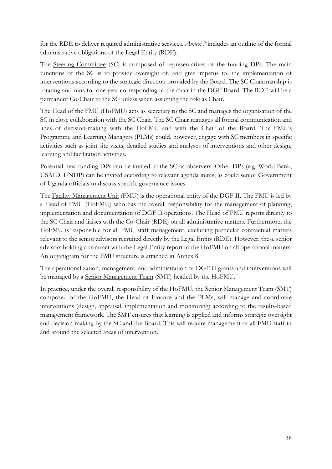for the RDE to deliver required administrative services. *Annex 7* includes an outline of the formal administrative obligations of the Legal Entity (RDE).

The Steering Committee (SC) is composed of representatives of the funding DPs. The main functions of the SC is to provide oversight of, and give impetus to, the implementation of interventions according to the strategic direction provided by the Board. The SC Chairmanship is rotating and runs for one year corresponding to the chair in the DGF Board. The RDE will be a permanent Co-Chair to the SC unless when assuming the role as Chair.

The Head of the FMU (HoFMU) acts as secretary to the SC and manages the organisation of the SC in close collaboration with the SC Chair. The SC Chair manages all formal communication and lines of decision-making with the HoFMU and with the Chair of the Board. The FMU's Programme and Learning Managers (PLMs) could, however, engage with SC members in specific activities such as joint site visits, detailed studies and analyses of interventions and other design, learning and facilitation activities.

Potential new funding DPs can be invited to the SC as observers. Other DPs (e.g. World Bank, USAID, UNDP) can be invited according to relevant agenda items; as could senior Government of Uganda officials to discuss specific governance issues.

The Facility Management Unit (FMU) is the operational entity of the DGF II. The FMU is led by a Head of FMU (HoFMU) who has the overall responsibility for the management of planning, implementation and documentation of DGF II operations. The Head of FMU reports directly to the SC Chair and liaises with the Co-Chair (RDE) on all administrative matters. Furthermore, the HoFMU is responsible for all FMU staff management, excluding particular contractual matters relevant to the senior advisors recruited directly by the Legal Entity (RDE). However, these senior advisors holding a contract with the Legal Entity report to the HoFMU on all operational matters. An organigram for the FMU structure is attached in Annex 8.

The operationalization, management, and administration of DGF II grants and interventions will be managed by a Senior Management Team (SMT) headed by the HoFMU.

In practice, under the overall responsibility of the HoFMU, the Senior Management Team (SMT) composed of the HoFMU, the Head of Finance and the PLMs, will manage and coordinate interventions (design, appraisal, implementation and monitoring) according to the results-based management framework. The SMT ensures that learning is applied and informs strategic oversight and decision making by the SC and the Board. This will require management of all FMU staff in and around the selected areas of intervention.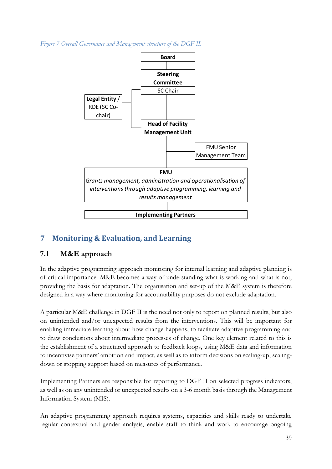*Figure 7 Overall Governance and Management structure of the DGF II.*



## <span id="page-38-0"></span>**7 Monitoring & Evaluation, and Learning**

## <span id="page-38-1"></span>**7.1 M&E approach**

In the adaptive programming approach monitoring for internal learning and adaptive planning is of critical importance. M&E becomes a way of understanding what is working and what is not, providing the basis for adaptation. The organisation and set-up of the M&E system is therefore designed in a way where monitoring for accountability purposes do not exclude adaptation.

A particular M&E challenge in DGF II is the need not only to report on planned results, but also on unintended and/or unexpected results from the interventions. This will be important for enabling immediate learning about how change happens, to facilitate adaptive programming and to draw conclusions about intermediate processes of change. One key element related to this is the establishment of a structured approach to feedback loops, using M&E data and information to incentivise partners' ambition and impact, as well as to inform decisions on scaling-up, scalingdown or stopping support based on measures of performance.

Implementing Partners are responsible for reporting to DGF II on selected progress indicators, as well as on any unintended or unexpected results on a 3-6 month basis through the Management Information System (MIS).

An adaptive programming approach requires systems, capacities and skills ready to undertake regular contextual and gender analysis, enable staff to think and work to encourage ongoing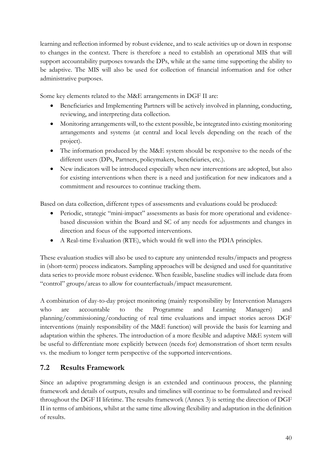learning and reflection informed by robust evidence, and to scale activities up or down in response to changes in the context. There is therefore a need to establish an operational MIS that will support accountability purposes towards the DPs, while at the same time supporting the ability to be adaptive. The MIS will also be used for collection of financial information and for other administrative purposes.

Some key elements related to the M&E arrangements in DGF II are:

- Beneficiaries and Implementing Partners will be actively involved in planning, conducting, reviewing, and interpreting data collection.
- Monitoring arrangements will, to the extent possible, be integrated into existing monitoring arrangements and systems (at central and local levels depending on the reach of the project).
- $\bullet$  The information produced by the M&E system should be responsive to the needs of the different users (DPs, Partners, policymakers, beneficiaries, etc.).
- New indicators will be introduced especially when new interventions are adopted, but also for existing interventions when there is a need and justification for new indicators and a commitment and resources to continue tracking them.

Based on data collection, different types of assessments and evaluations could be produced:

- Periodic, strategic "mini-impact" assessments as basis for more operational and evidencebased discussion within the Board and SC of any needs for adjustments and changes in direction and focus of the supported interventions.
- A Real-time Evaluation (RTE), which would fit well into the PDIA principles.

These evaluation studies will also be used to capture any unintended results/impacts and progress in (short-term) process indicators. Sampling approaches will be designed and used for quantitative data series to provide more robust evidence. When feasible, baseline studies will include data from "control" groups/areas to allow for counterfactuals/impact measurement.

A combination of day-to-day project monitoring (mainly responsibility by Intervention Managers who are accountable to the Programme and Learning Managers) and planning/commissioning/conducting of real time evaluations and impact stories across DGF interventions (mainly responsibility of the M&E function) will provide the basis for learning and adaptation within the spheres. The introduction of a more flexible and adaptive M&E system will be useful to differentiate more explicitly between (needs for) demonstration of short term results vs. the medium to longer term perspective of the supported interventions.

## <span id="page-39-0"></span>**7.2 Results Framework**

Since an adaptive programming design is an extended and continuous process, the planning framework and details of outputs, results and timelines will continue to be formulated and revised throughout the DGF II lifetime. The results framework (Annex 3) is setting the direction of DGF II in terms of ambitions, whilst at the same time allowing flexibility and adaptation in the definition of results.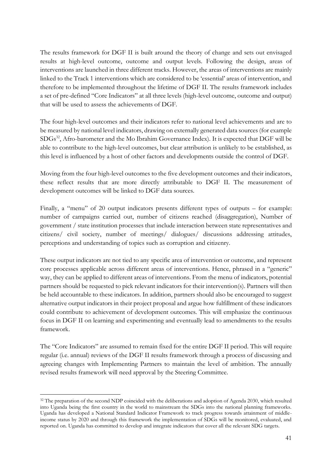The results framework for DGF II is built around the theory of change and sets out envisaged results at high-level outcome, outcome and output levels. Following the design, areas of interventions are launched in three different tracks. However, the areas of interventions are mainly linked to the Track 1 interventions which are considered to be 'essential' areas of intervention, and therefore to be implemented throughout the lifetime of DGF II. The results framework includes a set of pre-defined "Core Indicators" at all three levels (high-level outcome, outcome and output) that will be used to assess the achievements of DGF.

The four high-level outcomes and their indicators refer to national level achievements and are to be measured by national level indicators, drawing on externally generated data sources (for example  $SDGs^{32}$ , Afro-barometer and the Mo Ibrahim Governance Index). It is expected that DGF will be able to contribute to the high-level outcomes, but clear attribution is unlikely to be established, as this level is influenced by a host of other factors and developments outside the control of DGF.

Moving from the four high-level outcomes to the five development outcomes and their indicators, these reflect results that are more directly attributable to DGF II. The measurement of development outcomes will be linked to DGF data sources.

Finally, a "menu" of 20 output indicators presents different types of outputs – for example: number of campaigns carried out, number of citizens reached (disaggregation), Number of government / state institution processes that include interaction between state representatives and citizens/ civil society, number of meetings/ dialogues/ discussions addressing attitudes, perceptions and understanding of topics such as corruption and citizenry.

These output indicators are not tied to any specific area of intervention or outcome, and represent core processes applicable across different areas of interventions. Hence, phrased in a "generic" way, they can be applied to different areas of interventions. From the menu of indicators, potential partners should be requested to pick relevant indicators for their intervention(s). Partners will then be held accountable to these indicators. In addition, partners should also be encouraged to suggest alternative output indicators in their project proposal and argue how fulfillment of these indicators could contribute to achievement of development outcomes. This will emphasize the continuous focus in DGF II on learning and experimenting and eventually lead to amendments to the results framework.

The "Core Indicators" are assumed to remain fixed for the entire DGF II period. This will require regular (i.e. annual) reviews of the DGF II results framework through a process of discussing and agreeing changes with Implementing Partners to maintain the level of ambition. The annually revised results framework will need approval by the Steering Committee.

<sup>&</sup>lt;sup>32</sup> The preparation of the second NDP coincided with the deliberations and adoption of Agenda 2030, which resulted into Uganda being the first country in the world to mainstream the SDGs into the national planning frameworks. Uganda has developed a National Standard Indicator Framework to track progress towards attainment of middleincome status by 2020 and through this framework the implementation of SDGs will be monitored, evaluated, and reported on. Uganda has committed to develop and integrate indicators that cover all the relevant SDG targets.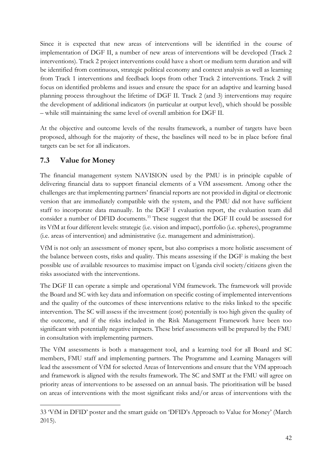Since it is expected that new areas of interventions will be identified in the course of implementation of DGF II, a number of new areas of interventions will be developed (Track 2 interventions). Track 2 project interventions could have a short or medium term duration and will be identified from continuous, strategic political economy and context analysis as well as learning from Track 1 interventions and feedback loops from other Track 2 interventions. Track 2 will focus on identified problems and issues and ensure the space for an adaptive and learning based planning process throughout the lifetime of DGF II. Track 2 (and 3) interventions may require the development of additional indicators (in particular at output level), which should be possible – while still maintaining the same level of overall ambition for DGF II.

At the objective and outcome levels of the results framework, a number of targets have been proposed, although for the majority of these, the baselines will need to be in place before final targets can be set for all indicators.

## <span id="page-41-0"></span>**7.3 Value for Money**

The financial management system NAVISION used by the PMU is in principle capable of delivering financial data to support financial elements of a VfM assessment. Among other the challenges are that implementing partners' financial reports are not provided in digital or electronic version that are immediately compatible with the system, and the PMU did not have sufficient staff to incorporate data manually. In the DGF I evaluation report, the evaluation team did consider a number of DFID documents.<sup>33</sup> These suggest that the DGF II could be assessed for its VfM at four different levels: strategic (i.e. vision and impact), portfolio (i.e. spheres), programme (i.e. areas of intervention) and administrative (i.e. management and administration).

VfM is not only an assessment of money spent, but also comprises a more holistic assessment of the balance between costs, risks and quality. This means assessing if the DGF is making the best possible use of available resources to maximise impact on Uganda civil society/citizens given the risks associated with the interventions.

The DGF II can operate a simple and operational VfM framework. The framework will provide the Board and SC with key data and information on specific costing of implemented interventions and the quality of the outcomes of these interventions relative to the risks linked to the specific intervention. The SC will assess if the investment (cost) potentially is too high given the quality of the outcome, and if the risks included in the Risk Management Framework have been too significant with potentially negative impacts. These brief assessments will be prepared by the FMU in consultation with implementing partners.

The VfM assessments is both a management tool, and a learning tool for all Board and SC members, FMU staff and implementing partners. The Programme and Learning Managers will lead the assessment of VfM for selected Areas of Interventions and ensure that the VfM approach and framework is aligned with the results framework. The SC and SMT at the FMU will agree on priority areas of interventions to be assessed on an annual basis. The prioritisation will be based on areas of interventions with the most significant risks and/or areas of interventions with the

<sup>-</sup>33 'VfM in DFID' poster and the smart guide on 'DFID's Approach to Value for Money' (March 2015).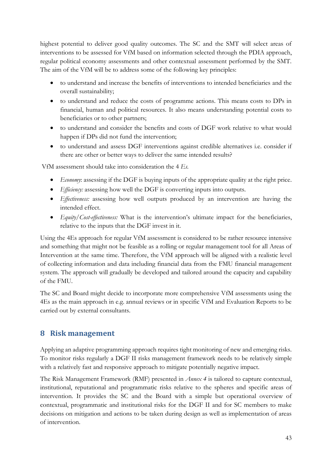highest potential to deliver good quality outcomes. The SC and the SMT will select areas of interventions to be assessed for VfM based on information selected through the PDIA approach, regular political economy assessments and other contextual assessment performed by the SMT. The aim of the VfM will be to address some of the following key principles:

- x to understand and increase the benefits of interventions to intended beneficiaries and the overall sustainability;
- to understand and reduce the costs of programme actions. This means costs to DPs in financial, human and political resources. It also means understanding potential costs to beneficiaries or to other partners;
- to understand and consider the benefits and costs of DGF work relative to what would happen if DPs did not fund the intervention;
- x to understand and assess DGF interventions against credible alternatives i.e. consider if there are other or better ways to deliver the same intended results?

VfM assessment should take into consideration the 4 *Es.*

- *Economy*: assessing if the DGF is buying inputs of the appropriate quality at the right price.
- *Efficiency:* assessing how well the DGF is converting inputs into outputs.
- *Effectiveness:* assessing how well outputs produced by an intervention are having the intended effect.
- *Equity/Cost-effectiveness:* What is the intervention's ultimate impact for the beneficiaries, relative to the inputs that the DGF invest in it.

Using the 4Es approach for regular VfM assessment is considered to be rather resource intensive and something that might not be feasible as a rolling or regular management tool for all Areas of Intervention at the same time. Therefore, the VfM approach will be aligned with a realistic level of collecting information and data including financial data from the FMU financial management system. The approach will gradually be developed and tailored around the capacity and capability of the FMU.

The SC and Board might decide to incorporate more comprehensive VfM assessments using the 4Es as the main approach in e.g. annual reviews or in specific VfM and Evaluation Reports to be carried out by external consultants.

## <span id="page-42-0"></span>**8 Risk management**

Applying an adaptive programming approach requires tight monitoring of new and emerging risks. To monitor risks regularly a DGF II risks management framework needs to be relatively simple with a relatively fast and responsive approach to mitigate potentially negative impact.

The Risk Management Framework (RMF) presented in *Annex 4* is tailored to capture contextual, institutional, reputational and programmatic risks relative to the spheres and specific areas of intervention. It provides the SC and the Board with a simple but operational overview of contextual, programmatic and institutional risks for the DGF II and for SC members to make decisions on mitigation and actions to be taken during design as well as implementation of areas of intervention.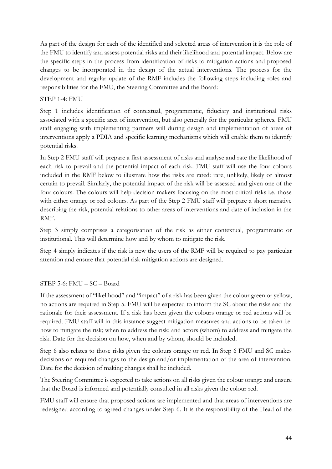As part of the design for each of the identified and selected areas of intervention it is the role of the FMU to identify and assess potential risks and their likelihood and potential impact. Below are the specific steps in the process from identification of risks to mitigation actions and proposed changes to be incorporated in the design of the actual interventions. The process for the development and regular update of the RMF includes the following steps including roles and responsibilities for the FMU, the Steering Committee and the Board:

#### STEP 1-4: FMU

Step 1 includes identification of contextual, programmatic, fiduciary and institutional risks associated with a specific area of intervention, but also generally for the particular spheres. FMU staff engaging with implementing partners will during design and implementation of areas of interventions apply a PDIA and specific learning mechanisms which will enable them to identify potential risks.

In Step 2 FMU staff will prepare a first assessment of risks and analyse and rate the likelihood of each risk to prevail and the potential impact of each risk. FMU staff will use the four colours included in the RMF below to illustrate how the risks are rated: rare, unlikely, likely or almost certain to prevail. Similarly, the potential impact of the risk will be assessed and given one of the four colours. The colours will help decision makers focusing on the most critical risks i.e. those with either orange or red colours. As part of the Step 2 FMU staff will prepare a short narrative describing the risk, potential relations to other areas of interventions and date of inclusion in the RMF.

Step 3 simply comprises a categorisation of the risk as either contextual, programmatic or institutional. This will determine how and by whom to mitigate the risk.

Step 4 simply indicates if the risk is new the users of the RMF will be required to pay particular attention and ensure that potential risk mitigation actions are designed.

#### STEP 5-6: FMU – SC – Board

If the assessment of "likelihood" and "impact" of a risk has been given the colour green or yellow, no actions are required in Step 5. FMU will be expected to inform the SC about the risks and the rationale for their assessment. If a risk has been given the colours orange or red actions will be required. FMU staff will in this instance suggest mitigation measures and actions to be taken i.e. how to mitigate the risk; when to address the risk; and actors (whom) to address and mitigate the risk. Date for the decision on how, when and by whom, should be included.

Step 6 also relates to those risks given the colours orange or red. In Step 6 FMU and SC makes decisions on required changes to the design and/or implementation of the area of intervention. Date for the decision of making changes shall be included.

The Steering Committee is expected to take actions on all risks given the colour orange and ensure that the Board is informed and potentially consulted in all risks given the colour red.

FMU staff will ensure that proposed actions are implemented and that areas of interventions are redesigned according to agreed changes under Step 6. It is the responsibility of the Head of the